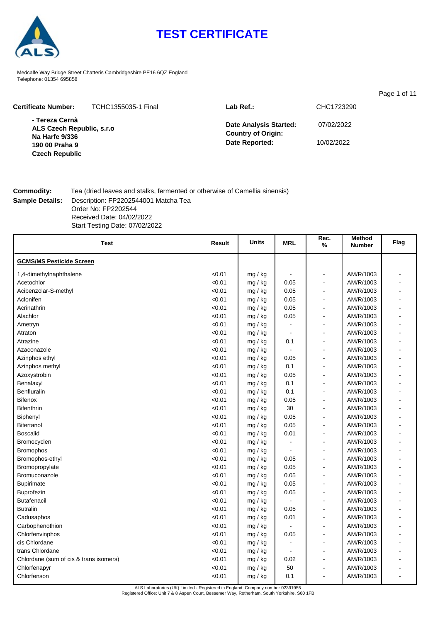

# **TEST CERTIFICATE**

Medcalfe Way Bridge Street Chatteris Cambridgeshire PE16 6QZ England Telephone: 01354 695858

|                                                                                 |                     |                                                                              |                          | Page 1 of 11 |
|---------------------------------------------------------------------------------|---------------------|------------------------------------------------------------------------------|--------------------------|--------------|
| <b>Certificate Number:</b>                                                      | TCHC1355035-1 Final | $Lab$ Ref.:                                                                  | CHC1723290               |              |
| - Tereza Cernà<br>ALS Czech Republic, s.r.o<br>Na Harfe 9/336<br>190 00 Praha 9 |                     | <b>Date Analysis Started:</b><br><b>Country of Origin:</b><br>Date Reported: | 07/02/2022<br>10/02/2022 |              |
| <b>Czech Republic</b>                                                           |                     |                                                                              |                          |              |

**Commodity:** Tea (dried leaves and stalks, fermented or otherwise of Camellia sinensis) **Sample Details:** Description: FP2202544001 Matcha Tea Order No: FP2202544 Received Date: 04/02/2022 Start Testing Date: 07/02/2022

| Test                                   | Result | <b>Units</b> | <b>MRL</b>     | Rec.<br>$\%$   | <b>Method</b><br><b>Number</b> | Flag |
|----------------------------------------|--------|--------------|----------------|----------------|--------------------------------|------|
| <b>GCMS/MS Pesticide Screen</b>        |        |              |                |                |                                |      |
| 1,4-dimethylnaphthalene                | < 0.01 | mg / kg      |                | $\overline{a}$ | AM/R/1003                      |      |
| Acetochlor                             | < 0.01 | mg / kg      | 0.05           |                | AM/R/1003                      |      |
| Acibenzolar-S-methyl                   | < 0.01 | mg / kg      | 0.05           | $\blacksquare$ | AM/R/1003                      |      |
| Aclonifen                              | < 0.01 | mg / kg      | 0.05           | $\blacksquare$ | AM/R/1003                      |      |
| Acrinathrin                            | < 0.01 | mg / kg      | 0.05           | Ĭ.             | AM/R/1003                      |      |
| Alachlor                               | < 0.01 | mg / kg      | 0.05           | $\overline{a}$ | AM/R/1003                      |      |
| Ametryn                                | < 0.01 | mg / kg      |                | Ĭ.             | AM/R/1003                      |      |
| Atraton                                | < 0.01 | mg / kg      | $\blacksquare$ | $\blacksquare$ | AM/R/1003                      |      |
| Atrazine                               | < 0.01 | mg / kg      | 0.1            | $\blacksquare$ | AM/R/1003                      |      |
| Azaconazole                            | < 0.01 | mg / kg      | $\blacksquare$ | ٠              | AM/R/1003                      |      |
| Azinphos ethyl                         | < 0.01 | mg / kg      | 0.05           | $\overline{a}$ | AM/R/1003                      |      |
| Azinphos methyl                        | < 0.01 | mg / kg      | 0.1            | Ē,             | AM/R/1003                      |      |
| Azoxystrobin                           | < 0.01 | mg / kg      | 0.05           | $\blacksquare$ | AM/R/1003                      |      |
| Benalaxyl                              | < 0.01 | mg / kg      | 0.1            | ÷.             | AM/R/1003                      |      |
| <b>Benfluralin</b>                     | < 0.01 | mg / kg      | 0.1            | ÷.             | AM/R/1003                      |      |
| <b>Bifenox</b>                         | < 0.01 | mg / kg      | 0.05           |                | AM/R/1003                      |      |
| <b>Bifenthrin</b>                      | < 0.01 | mg / kg      | 30             |                | AM/R/1003                      |      |
| Biphenyl                               | < 0.01 | mg / kg      | 0.05           | $\blacksquare$ | AM/R/1003                      |      |
| <b>Bitertanol</b>                      | < 0.01 | mg / kg      | 0.05           | $\blacksquare$ | AM/R/1003                      |      |
| <b>Boscalid</b>                        | < 0.01 | mg / kg      | 0.01           | ÷,             | AM/R/1003                      |      |
| Bromocyclen                            | < 0.01 | mg / kg      | $\blacksquare$ | $\blacksquare$ | AM/R/1003                      |      |
| <b>Bromophos</b>                       | < 0.01 | mg / kg      | $\blacksquare$ | L,             | AM/R/1003                      |      |
| Bromophos-ethyl                        | < 0.01 | mg / kg      | 0.05           | $\blacksquare$ | AM/R/1003                      |      |
| Bromopropylate                         | < 0.01 | mg / kg      | 0.05           | Ē,             | AM/R/1003                      |      |
| Bromuconazole                          | < 0.01 | mg / kg      | 0.05           | $\blacksquare$ | AM/R/1003                      |      |
| <b>Bupirimate</b>                      | < 0.01 | mg / kg      | 0.05           | $\blacksquare$ | AM/R/1003                      |      |
| <b>Buprofezin</b>                      | < 0.01 | mg / kg      | 0.05           | $\blacksquare$ | AM/R/1003                      |      |
| <b>Butafenacil</b>                     | < 0.01 | mg / kg      |                | $\blacksquare$ | AM/R/1003                      |      |
| <b>Butralin</b>                        | < 0.01 | mg / kg      | 0.05           | L,             | AM/R/1003                      |      |
| Cadusaphos                             | < 0.01 | mg / kg      | 0.01           | Ē,             | AM/R/1003                      |      |
| Carbophenothion                        | < 0.01 | mg / kg      |                |                | AM/R/1003                      |      |
| Chlorfenvinphos                        | < 0.01 | mg / kg      | 0.05           | $\blacksquare$ | AM/R/1003                      |      |
| cis Chlordane                          | < 0.01 | mg / kg      |                | L,             | AM/R/1003                      |      |
| trans Chlordane                        | < 0.01 | mg / kg      |                |                | AM/R/1003                      |      |
| Chlordane (sum of cis & trans isomers) | < 0.01 | mg / kg      | 0.02           | $\blacksquare$ | AM/R/1003                      |      |
| Chlorfenapyr                           | < 0.01 | mg / kg      | 50             |                | AM/R/1003                      |      |
| Chlorfenson                            | < 0.01 | mg / kg      | 0.1            | $\blacksquare$ | AM/R/1003                      |      |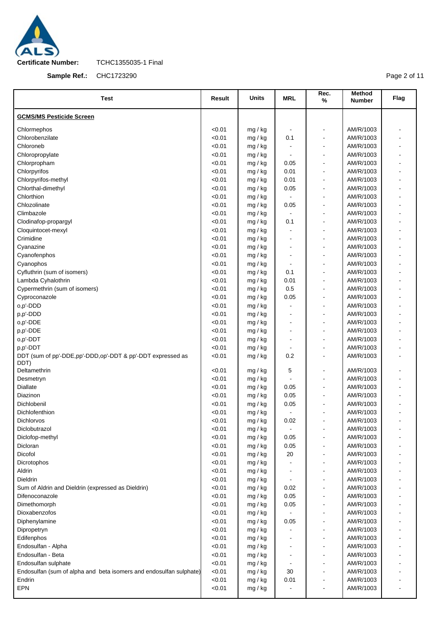

**Sample Ref.:** CHC1723290

Page 2 of 11

| <b>Test</b>                                                        | <b>Result</b>    | Units              | <b>MRL</b>               | Rec.<br>$\%$                       | <b>Method</b><br><b>Number</b> | Flag                     |
|--------------------------------------------------------------------|------------------|--------------------|--------------------------|------------------------------------|--------------------------------|--------------------------|
| <b>GCMS/MS Pesticide Screen</b>                                    |                  |                    |                          |                                    |                                |                          |
| Chlormephos                                                        | < 0.01           | mg / kg            |                          | $\qquad \qquad \blacksquare$       | AM/R/1003                      |                          |
| Chlorobenzilate                                                    | < 0.01           | mg / kg            | 0.1                      | $\blacksquare$                     | AM/R/1003                      |                          |
| Chloroneb                                                          | < 0.01           | mg / kg            |                          | $\qquad \qquad \blacksquare$       | AM/R/1003                      |                          |
| Chloropropylate                                                    | < 0.01           | mg / kg            |                          | $\blacksquare$                     | AM/R/1003                      |                          |
| Chlorpropham                                                       | < 0.01           | mg / kg            | 0.05                     | $\blacksquare$                     | AM/R/1003                      |                          |
| Chlorpyrifos                                                       | < 0.01           | mg / kg            | 0.01                     | ä,                                 | AM/R/1003                      | $\blacksquare$           |
| Chlorpyrifos-methyl                                                | < 0.01           | mg / kg            | 0.01                     | $\blacksquare$                     | AM/R/1003                      |                          |
| Chlorthal-dimethyl                                                 | < 0.01           | mg / kg            | 0.05                     | $\blacksquare$                     | AM/R/1003                      | $\overline{\phantom{a}}$ |
| Chlorthion                                                         | < 0.01           | mg / kg            |                          | $\blacksquare$                     | AM/R/1003                      |                          |
| Chlozolinate                                                       | < 0.01           | mg / kg            | 0.05                     | $\blacksquare$                     | AM/R/1003                      |                          |
| Climbazole                                                         | < 0.01           | mg / kg            |                          | ä,                                 | AM/R/1003                      |                          |
| Clodinafop-propargyl                                               | < 0.01           | mg / kg            | 0.1                      | $\qquad \qquad \blacksquare$       | AM/R/1003                      |                          |
| Cloquintocet-mexyl                                                 | < 0.01           | mg / kg            | $\blacksquare$           | ä,                                 | AM/R/1003                      | $\blacksquare$           |
| Crimidine                                                          | < 0.01           | mg / kg            |                          | $\blacksquare$                     | AM/R/1003                      |                          |
| Cyanazine                                                          | < 0.01           | mg / kg            | $\blacksquare$           | ä,                                 | AM/R/1003                      | $\blacksquare$           |
| Cyanofenphos                                                       | < 0.01           | mg / kg            | $\blacksquare$           | $\overline{a}$                     | AM/R/1003                      | $\blacksquare$           |
| Cyanophos                                                          | < 0.01           | mg / kg            |                          | $\blacksquare$                     | AM/R/1003                      |                          |
| Cyfluthrin (sum of isomers)                                        | < 0.01           | mg / kg            | 0.1                      | $\blacksquare$                     | AM/R/1003                      | $\blacksquare$           |
| Lambda Cyhalothrin                                                 | < 0.01           | mg / kg            | 0.01                     | $\blacksquare$                     | AM/R/1003                      |                          |
| Cypermethrin (sum of isomers)                                      | < 0.01           | mg / kg            | 0.5                      | ä,                                 | AM/R/1003                      | $\blacksquare$           |
| Cyproconazole                                                      | < 0.01           | mg / kg            | 0.05                     | $\blacksquare$                     | AM/R/1003                      |                          |
| o,p'-DDD                                                           | < 0.01           | mg / kg            | $\blacksquare$           | ä,                                 | AM/R/1003                      | $\blacksquare$           |
| p,p'-DDD                                                           | < 0.01           | mg / kg            |                          | $\blacksquare$                     | AM/R/1003                      |                          |
| o,p'-DDE                                                           | < 0.01           | mg / kg            |                          | $\overline{a}$                     | AM/R/1003                      |                          |
| p,p'-DDE                                                           | < 0.01           | mg / kg            | $\overline{\phantom{a}}$ | $\blacksquare$                     | AM/R/1003                      |                          |
| o,p'-DDT                                                           | < 0.01           | mg / kg            |                          | ä,                                 | AM/R/1003                      |                          |
| p,p'-DDT                                                           | < 0.01           | mg / kg            |                          | $\qquad \qquad \blacksquare$       | AM/R/1003                      |                          |
| DDT (sum of pp'-DDE, pp'-DDD, op'-DDT & pp'-DDT expressed as       | < 0.01           | mg / kg            | 0.2                      | ä,                                 | AM/R/1003                      | $\overline{a}$           |
| DDT)                                                               |                  |                    |                          |                                    |                                |                          |
| Deltamethrin                                                       | < 0.01           | mg / kg            | 5                        | $\blacksquare$                     | AM/R/1003                      | $\overline{a}$           |
| Desmetryn                                                          | < 0.01           | mg / kg            |                          | $\frac{1}{2}$                      | AM/R/1003                      | $\overline{\phantom{a}}$ |
| Diallate                                                           | < 0.01           | mg / kg            | 0.05                     | $\blacksquare$                     | AM/R/1003                      |                          |
| Diazinon                                                           | < 0.01           | mg / kg            | 0.05                     | $\overline{a}$                     | AM/R/1003                      |                          |
| Dichlobenil                                                        | < 0.01           | mg / kg            | 0.05                     | ä,                                 | AM/R/1003                      |                          |
| Dichlofenthion                                                     | < 0.01           | mg / kg            |                          |                                    | AM/R/1003                      |                          |
| Dichlorvos                                                         | < 0.01           | mg / kg            | 0.02                     | $\blacksquare$                     | AM/R/1003                      |                          |
| Diclobutrazol                                                      | < 0.01           | mg / kg            |                          |                                    | AM/R/1003                      |                          |
| Diclofop-methyl                                                    | < 0.01           | mg / kg            | 0.05                     | $\blacksquare$                     | AM/R/1003                      | $\blacksquare$           |
| Dicloran<br>Dicofol                                                | < 0.01           | mg / kg            | 0.05                     | $\blacksquare$                     | AM/R/1003<br>AM/R/1003         | $\overline{\phantom{a}}$ |
|                                                                    | < 0.01           | mg / kg            | 20                       | $\overline{\phantom{a}}$           |                                |                          |
| Dicrotophos<br>Aldrin                                              | < 0.01<br>< 0.01 | mg / kg            |                          | $\blacksquare$                     | AM/R/1003<br>AM/R/1003         |                          |
| Dieldrin                                                           | < 0.01           | mg / kg<br>mg / kg |                          | $\qquad \qquad \blacksquare$<br>ä, | AM/R/1003                      |                          |
| Sum of Aldrin and Dieldrin (expressed as Dieldrin)                 | < 0.01           | mg / kg            | 0.02                     | $\qquad \qquad \blacksquare$       | AM/R/1003                      |                          |
| Difenoconazole                                                     | < 0.01           | mg / kg            | 0.05                     | $\blacksquare$                     | AM/R/1003                      | $\overline{\phantom{a}}$ |
| Dimethomorph                                                       | < 0.01           | mg / kg            | 0.05                     | $\qquad \qquad \blacksquare$       | AM/R/1003                      |                          |
| Dioxabenzofos                                                      | < 0.01           | mg / kg            |                          | $\blacksquare$                     | AM/R/1003                      |                          |
| Diphenylamine                                                      | < 0.01           | mg / kg            | 0.05                     | $\overline{a}$                     | AM/R/1003                      |                          |
| Dipropetryn                                                        | < 0.01           | mg / kg            |                          | $\blacksquare$                     | AM/R/1003                      |                          |
| Edifenphos                                                         | < 0.01           | mg / kg            |                          | $\overline{\phantom{a}}$           | AM/R/1003                      |                          |
| Endosulfan - Alpha                                                 | < 0.01           | mg / kg            |                          | $\qquad \qquad \blacksquare$       | AM/R/1003                      |                          |
| Endosulfan - Beta                                                  | < 0.01           | mg / kg            |                          | $\qquad \qquad \blacksquare$       | AM/R/1003                      |                          |
| Endosulfan sulphate                                                | < 0.01           | mg / kg            | $\overline{\phantom{a}}$ | $\qquad \qquad \blacksquare$       | AM/R/1003                      |                          |
| Endosulfan (sum of alpha and beta isomers and endosulfan sulphate) | < 0.01           | mg / kg            | 30                       | ä,                                 | AM/R/1003                      |                          |
| Endrin                                                             | < 0.01           | mg / kg            | 0.01                     | $\qquad \qquad \blacksquare$       | AM/R/1003                      |                          |
| <b>EPN</b>                                                         | < 0.01           | mg / kg            |                          |                                    | AM/R/1003                      | $\overline{\phantom{a}}$ |
|                                                                    |                  |                    |                          |                                    |                                |                          |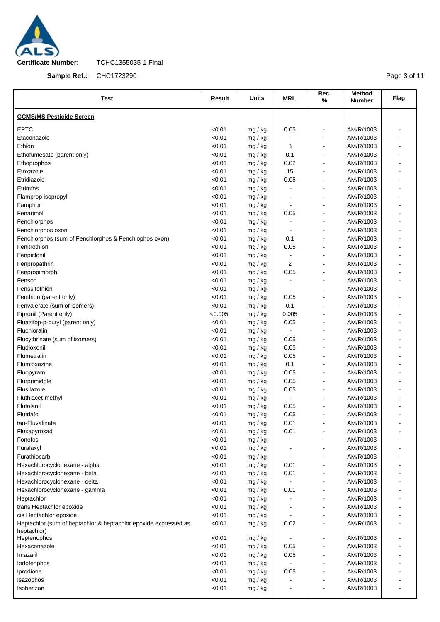

**Sample Ref.:** CHC1723290

Page 3 of 11

| Test                                                                           | <b>Result</b> | Units              | <b>MRL</b> | Rec.<br>%                    | Method<br><b>Number</b> | Flag |
|--------------------------------------------------------------------------------|---------------|--------------------|------------|------------------------------|-------------------------|------|
| <b>GCMS/MS Pesticide Screen</b>                                                |               |                    |            |                              |                         |      |
| <b>EPTC</b>                                                                    | < 0.01        | mg / kg            | 0.05       | $\qquad \qquad \blacksquare$ | AM/R/1003               |      |
| Etaconazole                                                                    | < 0.01        |                    |            | $\qquad \qquad \blacksquare$ | AM/R/1003               |      |
| Ethion                                                                         | < 0.01        | mg / kg<br>mg / kg | 3          | $\overline{\phantom{a}}$     | AM/R/1003               |      |
| Ethofumesate (parent only)                                                     | < 0.01        | mg / kg            | 0.1        | $\overline{a}$               | AM/R/1003               |      |
| Ethoprophos                                                                    | < 0.01        | mg / kg            | 0.02       | $\overline{a}$               | AM/R/1003               |      |
| Etoxazole                                                                      | < 0.01        | mg / kg            | 15         | $\overline{a}$               | AM/R/1003               |      |
| Etridiazole                                                                    | < 0.01        | mg / kg            | 0.05       | $\blacksquare$               | AM/R/1003               |      |
| Etrimfos                                                                       | < 0.01        | mg / kg            |            | ä,                           | AM/R/1003               |      |
| Flamprop isopropyl                                                             | < 0.01        | mg / kg            |            | $\overline{a}$               | AM/R/1003               |      |
| Famphur                                                                        | < 0.01        | mg / kg            |            | $\overline{a}$               | AM/R/1003               |      |
| Fenarimol                                                                      | < 0.01        | mg / kg            | 0.05       |                              | AM/R/1003               |      |
| Fenchlorphos                                                                   | < 0.01        | mg / kg            |            | $\overline{\phantom{a}}$     | AM/R/1003               |      |
| Fenchlorphos oxon                                                              | < 0.01        | mg / kg            |            | ä,                           | AM/R/1003               |      |
| Fenchlorphos (sum of Fenchlorphos & Fenchlophos oxon)                          | < 0.01        | mg / kg            | 0.1        | $\overline{a}$               | AM/R/1003               |      |
| Fenitrothion                                                                   | < 0.01        | mg / kg            | 0.05       | $\blacksquare$               | AM/R/1003               |      |
| Fenpiclonil                                                                    | < 0.01        | mg / kg            |            | $\qquad \qquad \blacksquare$ | AM/R/1003               |      |
| Fenpropathrin                                                                  | < 0.01        | mg / kg            | 2          | $\blacksquare$               | AM/R/1003               |      |
| Fenpropimorph                                                                  | < 0.01        | mg / kg            | 0.05       | $\overline{\phantom{a}}$     | AM/R/1003               |      |
| Fenson                                                                         | < 0.01        | mg / kg            |            | $\blacksquare$               | AM/R/1003               |      |
| Fensulfothion                                                                  | < 0.01        | mg / kg            |            | $\overline{a}$               | AM/R/1003               |      |
| Fenthion (parent only)                                                         | < 0.01        | mg / kg            | 0.05       | $\blacksquare$               | AM/R/1003               |      |
| Fenvalerate (sum of isomers)                                                   | < 0.01        | mg / kg            | 0.1        | $\overline{a}$               | AM/R/1003               |      |
| Fipronil (Parent only)                                                         | < 0.005       | mg / kg            | 0.005      | $\blacksquare$               | AM/R/1003               |      |
| Fluazifop-p-butyl (parent only)                                                | < 0.01        | mg / kg            | 0.05       | $\overline{a}$               | AM/R/1003               |      |
| Fluchloralin                                                                   | < 0.01        | mg / kg            |            | $\overline{a}$               | AM/R/1003               |      |
| Flucythrinate (sum of isomers)                                                 | < 0.01        | mg / kg            | 0.05       | $\overline{a}$               | AM/R/1003               |      |
| Fludioxonil                                                                    | < 0.01        | mg / kg            | 0.05       | ä,                           | AM/R/1003               |      |
| Flumetralin                                                                    | < 0.01        | mg / kg            | 0.05       | $\blacksquare$               | AM/R/1003               |      |
| Flumioxazine                                                                   | < 0.01        | mg / kg            | 0.1        | ä,                           | AM/R/1003               |      |
| Fluopyram                                                                      | < 0.01        | mg / kg            | 0.05       | $\blacksquare$               | AM/R/1003               |      |
| Flurprimidole                                                                  | < 0.01        | mg / kg            | 0.05       | $\overline{\phantom{a}}$     | AM/R/1003               |      |
| Flusilazole                                                                    | < 0.01        | mg / kg            | 0.05       | $\blacksquare$               | AM/R/1003               |      |
| Fluthiacet-methyl                                                              | < 0.01        | mg / kg            |            | $\overline{\phantom{a}}$     | AM/R/1003               |      |
| Flutolanil                                                                     | < 0.01        | mg / kg            | 0.05       | ä,                           | AM/R/1003               |      |
| Flutriafol                                                                     | < 0.01        | mg / kg            | 0.05       |                              | AM/R/1003               |      |
| tau-Fluvalinate                                                                | < 0.01        | mg / kg            | 0.01       | $\blacksquare$               | AM/R/1003               |      |
| Fluxapyroxad                                                                   | < 0.01        | mg / kg            | 0.01       |                              | AM/R/1003               |      |
| Fonofos                                                                        | < 0.01        | mg / kg            |            |                              | AM/R/1003               |      |
| Furalaxyl                                                                      | < 0.01        | mg / kg            |            |                              | AM/R/1003               |      |
| Furathiocarb                                                                   | < 0.01        | mg / kg            |            |                              | AM/R/1003               |      |
| Hexachlorocyclohexane - alpha                                                  | < 0.01        | mg / kg            | 0.01       |                              | AM/R/1003               |      |
| Hexachlorocyclohexane - beta                                                   | < 0.01        | mg / kg            | 0.01       | $\blacksquare$               | AM/R/1003               |      |
| Hexachlorocyclohexane - delta                                                  | < 0.01        | mg / kg            |            |                              | AM/R/1003               |      |
| Hexachlorocyclohexane - gamma                                                  | < 0.01        | mg / kg            | 0.01       | $\blacksquare$               | AM/R/1003               |      |
| Heptachlor                                                                     | < 0.01        | mg / kg            |            |                              | AM/R/1003               |      |
| trans Heptachlor epoxide                                                       | < 0.01        | mg / kg            |            |                              | AM/R/1003               |      |
| cis Heptachlor epoxide                                                         | < 0.01        | mg / kg            |            |                              | AM/R/1003               |      |
| Heptachlor (sum of heptachlor & heptachlor epoxide expressed as<br>heptachlor) | < 0.01        | mg / kg            | 0.02       |                              | AM/R/1003               |      |
| Heptenophos                                                                    | < 0.01        | mg / kg            |            | $\overline{\phantom{a}}$     | AM/R/1003               |      |
| Hexaconazole                                                                   | < 0.01        | mg / kg            | 0.05       |                              | AM/R/1003               |      |
| Imazalil                                                                       | < 0.01        | mg / kg            | 0.05       |                              | AM/R/1003               |      |
| lodofenphos                                                                    | < 0.01        | mg / kg            |            |                              | AM/R/1003               |      |
| Iprodione                                                                      | < 0.01        | mg / kg            | 0.05       |                              | AM/R/1003               |      |
| Isazophos                                                                      | < 0.01        | mg / kg            |            |                              | AM/R/1003               |      |
| Isobenzan                                                                      | < 0.01        | mg / kg            |            |                              | AM/R/1003               |      |
|                                                                                |               |                    |            |                              |                         |      |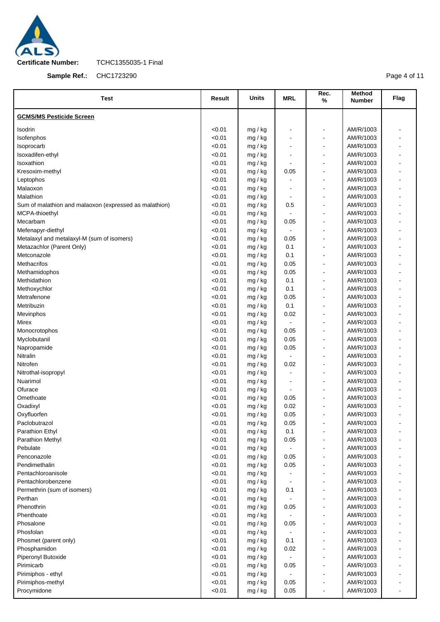

**Sample Ref.:** CHC1723290

Page 4 of 11

| <b>Test</b>                                            | Result | <b>Units</b> | <b>MRL</b>               | Rec.<br>%                    | <b>Method</b><br><b>Number</b> | Flag |
|--------------------------------------------------------|--------|--------------|--------------------------|------------------------------|--------------------------------|------|
| <b>GCMS/MS Pesticide Screen</b>                        |        |              |                          |                              |                                |      |
| Isodrin                                                | < 0.01 | mg / kg      |                          |                              | AM/R/1003                      |      |
| Isofenphos                                             | < 0.01 | mg / kg      |                          |                              | AM/R/1003                      |      |
| Isoprocarb                                             | < 0.01 | mg / kg      | Ē,                       | $\blacksquare$               | AM/R/1003                      |      |
| Isoxadifen-ethyl                                       | < 0.01 | mg / kg      | ٠                        | $\overline{a}$               | AM/R/1003                      |      |
| Isoxathion                                             | < 0.01 | mg / kg      | $\overline{a}$           | $\blacksquare$               | AM/R/1003                      |      |
| Kresoxim-methyl                                        | < 0.01 | mg / kg      | 0.05                     | $\overline{\phantom{a}}$     | AM/R/1003                      |      |
| Leptophos                                              | < 0.01 | mg / kg      |                          | $\blacksquare$               | AM/R/1003                      |      |
| Malaoxon                                               | < 0.01 | mg / kg      |                          |                              | AM/R/1003                      |      |
| Malathion                                              | < 0.01 | mg / kg      | $\overline{\phantom{a}}$ | $\overline{a}$               | AM/R/1003                      |      |
| Sum of malathion and malaoxon (expressed as malathion) | < 0.01 | mg / kg      | 0.5                      | $\blacksquare$               | AM/R/1003                      |      |
| MCPA-thioethyl                                         | < 0.01 | mg / kg      | $\blacksquare$           | $\blacksquare$               | AM/R/1003                      |      |
| Mecarbam                                               | < 0.01 | mg / kg      | 0.05                     | $\blacksquare$               | AM/R/1003                      |      |
| Mefenapyr-diethyl                                      | < 0.01 | mg / kg      | $\blacksquare$           |                              | AM/R/1003                      |      |
| Metalaxyl and metalaxyl-M (sum of isomers)             | < 0.01 | mg / kg      | 0.05                     | $\blacksquare$               | AM/R/1003                      |      |
| Metazachlor (Parent Only)                              | < 0.01 | mg / kg      | 0.1                      | $\overline{\phantom{a}}$     | AM/R/1003                      |      |
| Metconazole                                            | < 0.01 | mg / kg      | 0.1                      | $\blacksquare$               | AM/R/1003                      |      |
| Methacrifos                                            | < 0.01 | mg / kg      | 0.05                     | ä,                           | AM/R/1003                      |      |
| Methamidophos                                          | < 0.01 | mg / kg      | 0.05                     | $\blacksquare$               | AM/R/1003                      |      |
| Methidathion                                           | < 0.01 | mg / kg      | 0.1                      | $\blacksquare$               | AM/R/1003                      |      |
| Methoxychlor                                           | < 0.01 | mg / kg      | 0.1                      | $\blacksquare$               | AM/R/1003                      |      |
| Metrafenone                                            | < 0.01 | mg / kg      | 0.05                     | $\blacksquare$               | AM/R/1003                      |      |
| Metribuzin                                             | < 0.01 | mg / kg      | 0.1                      |                              | AM/R/1003                      |      |
| Mevinphos                                              | < 0.01 | mg / kg      | 0.02                     | $\blacksquare$               | AM/R/1003                      |      |
| Mirex                                                  | < 0.01 | mg / kg      |                          | $\overline{\phantom{a}}$     | AM/R/1003                      |      |
| Monocrotophos                                          | < 0.01 | mg / kg      | 0.05                     | $\blacksquare$               | AM/R/1003                      |      |
| Myclobutanil                                           | < 0.01 | mg / kg      | 0.05                     | ä,                           | AM/R/1003                      |      |
| Napropamide                                            | < 0.01 | mg / kg      | 0.05                     | ä,                           | AM/R/1003                      |      |
| Nitralin                                               | < 0.01 | mg / kg      |                          | $\blacksquare$               | AM/R/1003                      |      |
| Nitrofen                                               | < 0.01 | mg / kg      | 0.02                     | ä,                           | AM/R/1003                      |      |
| Nitrothal-isopropyl                                    | < 0.01 | mg / kg      |                          | $\blacksquare$               | AM/R/1003                      |      |
| Nuarimol                                               | < 0.01 | mg / kg      |                          |                              | AM/R/1003                      |      |
| Ofurace                                                | < 0.01 | mg / kg      | $\blacksquare$           | $\blacksquare$               | AM/R/1003                      |      |
| Omethoate                                              | < 0.01 | mg / kg      | 0.05                     | $\blacksquare$               | AM/R/1003                      |      |
| Oxadixyl                                               | < 0.01 | mg / kg      | 0.02                     |                              | AM/R/1003                      |      |
| Oxyfluorfen                                            | < 0.01 | mg / kg      | 0.05                     |                              | AM/R/1003                      |      |
| Paclobutrazol                                          | < 0.01 | mg / kg      | 0.05                     |                              | AM/R/1003                      |      |
| Parathion Ethyl                                        | < 0.01 | mg / kg      | 0.1                      |                              | AM/R/1003                      |      |
| <b>Parathion Methyl</b>                                | < 0.01 | mg / kg      | 0.05                     |                              | AM/R/1003                      |      |
| Pebulate                                               | < 0.01 | mg / kg      | $\blacksquare$           | $\overline{a}$               | AM/R/1003                      |      |
| Penconazole                                            | < 0.01 | mg / kg      | 0.05                     |                              | AM/R/1003                      |      |
| Pendimethalin                                          | < 0.01 | mg / kg      | 0.05                     | $\overline{a}$               | AM/R/1003                      |      |
| Pentachloroanisole                                     | < 0.01 | mg / kg      |                          | $\qquad \qquad \blacksquare$ | AM/R/1003                      |      |
| Pentachlorobenzene                                     | < 0.01 | mg / kg      |                          | $\blacksquare$               | AM/R/1003                      |      |
| Permethrin (sum of isomers)                            | < 0.01 | mg / kg      | 0.1                      |                              | AM/R/1003                      |      |
| Perthan                                                | < 0.01 | mg / kg      |                          | ä,                           | AM/R/1003                      |      |
| Phenothrin                                             | < 0.01 | mg / kg      | 0.05                     |                              | AM/R/1003                      |      |
| Phenthoate                                             | < 0.01 | mg / kg      |                          | ä,                           | AM/R/1003                      |      |
| Phosalone                                              | < 0.01 | mg / kg      | 0.05                     | $\qquad \qquad \blacksquare$ | AM/R/1003                      |      |
| Phosfolan                                              | < 0.01 | mg / kg      |                          |                              | AM/R/1003                      |      |
| Phosmet (parent only)                                  | < 0.01 | mg / kg      | 0.1                      |                              | AM/R/1003                      |      |
| Phosphamidon                                           | < 0.01 | mg / kg      | 0.02                     |                              | AM/R/1003                      |      |
| Piperonyl Butoxide                                     | < 0.01 | mg / kg      |                          | $\overline{a}$               | AM/R/1003                      |      |
| Pirimicarb                                             | < 0.01 | mg / kg      | 0.05                     |                              | AM/R/1003                      |      |
| Pirimiphos - ethyl                                     | < 0.01 | mg / kg      |                          |                              | AM/R/1003                      |      |
| Pirimiphos-methyl                                      | < 0.01 | mg / kg      | 0.05                     |                              | AM/R/1003                      |      |
| Procymidone                                            | < 0.01 | mg / kg      | 0.05                     |                              | AM/R/1003                      |      |
|                                                        |        |              |                          |                              |                                |      |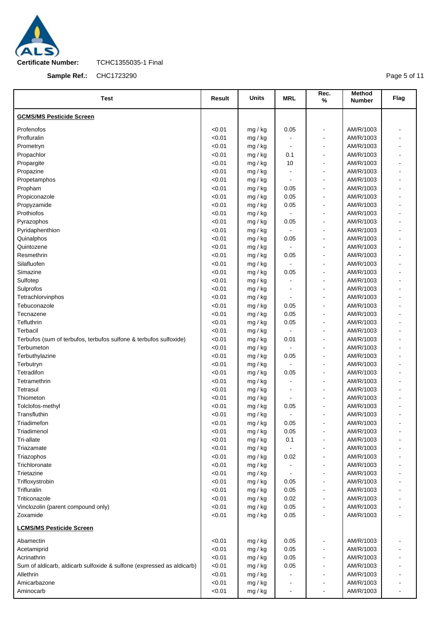

**Sample Ref.:** CHC1723290

Page 5 of 11

| Test                                                                  | <b>Result</b> | <b>Units</b> | <b>MRL</b>     | Rec.<br>%                    | Method<br><b>Number</b> | Flag                     |
|-----------------------------------------------------------------------|---------------|--------------|----------------|------------------------------|-------------------------|--------------------------|
| <b>GCMS/MS Pesticide Screen</b>                                       |               |              |                |                              |                         |                          |
| Profenofos                                                            | < 0.01        | mg / kg      | 0.05           | $\blacksquare$               | AM/R/1003               |                          |
| Profluralin                                                           | < 0.01        | mg / kg      |                | $\blacksquare$               | AM/R/1003               |                          |
| Prometryn                                                             | < 0.01        | mg / kg      |                | $\blacksquare$               | AM/R/1003               | $\blacksquare$           |
| Propachlor                                                            | < 0.01        | mg / kg      | 0.1            | $\blacksquare$               | AM/R/1003               |                          |
| Propargite                                                            | < 0.01        | mg / kg      | 10             | $\blacksquare$               | AM/R/1003               | $\blacksquare$           |
| Propazine                                                             | < 0.01        | mg / kg      |                | $\qquad \qquad \blacksquare$ | AM/R/1003               |                          |
| Propetamphos                                                          | < 0.01        | mg / kg      | $\blacksquare$ | $\blacksquare$               | AM/R/1003               | $\blacksquare$           |
| Propham                                                               | < 0.01        | mg / kg      | 0.05           | $\blacksquare$               | AM/R/1003               |                          |
| Propiconazole                                                         | < 0.01        | mg / kg      | 0.05           | $\blacksquare$               | AM/R/1003               |                          |
| Propyzamide                                                           | < 0.01        | mg / kg      | 0.05           | $\blacksquare$               | AM/R/1003               |                          |
| Prothiofos                                                            | < 0.01        | mg / kg      |                | $\blacksquare$               | AM/R/1003               |                          |
| Pyrazophos                                                            | < 0.01        | mg / kg      | 0.05           | $\blacksquare$               | AM/R/1003               |                          |
| Pyridaphenthion                                                       | < 0.01        | mg / kg      |                | $\qquad \qquad \blacksquare$ | AM/R/1003               |                          |
| Quinalphos                                                            | < 0.01        | mg / kg      | 0.05           | $\blacksquare$               | AM/R/1003               | $\blacksquare$           |
| Quintozene                                                            | < 0.01        | mg / kg      |                | $\blacksquare$               | AM/R/1003               |                          |
| Resmethrin                                                            | < 0.01        | mg / kg      | 0.05           | $\blacksquare$               | AM/R/1003               |                          |
| Silafluofen                                                           | < 0.01        | mg / kg      |                | $\blacksquare$               | AM/R/1003               | $\blacksquare$           |
| Simazine                                                              | < 0.01        | mg / kg      | 0.05           | $\blacksquare$               | AM/R/1003               |                          |
| Sulfotep                                                              | < 0.01        | mg / kg      |                | $\blacksquare$               | AM/R/1003               | $\overline{\phantom{a}}$ |
| Sulprofos                                                             | < 0.01        | mg / kg      |                | $\blacksquare$               | AM/R/1003               |                          |
| Tetrachlorvinphos                                                     | < 0.01        | mg / kg      |                | $\blacksquare$               | AM/R/1003               | $\overline{\phantom{a}}$ |
| Tebuconazole                                                          | < 0.01        | mg / kg      | 0.05           | ä,                           | AM/R/1003               |                          |
| Tecnazene                                                             | < 0.01        | mg / kg      | 0.05           | $\blacksquare$               | AM/R/1003               | $\overline{\phantom{a}}$ |
| Tefluthrin                                                            | < 0.01        | mg / kg      | 0.05           | $\qquad \qquad \blacksquare$ | AM/R/1003               |                          |
| Terbacil                                                              | < 0.01        | mg / kg      |                | ä,                           | AM/R/1003               |                          |
| Terbufos (sum of terbufos, terbufos sulfone & terbufos sulfoxide)     | < 0.01        | mg / kg      | 0.01           | $\qquad \qquad \blacksquare$ | AM/R/1003               |                          |
| Terbumeton                                                            | < 0.01        | mg / kg      |                | $\overline{a}$               | AM/R/1003               | $\blacksquare$           |
| Terbuthylazine                                                        | < 0.01        | mg / kg      | 0.05           | $\qquad \qquad \blacksquare$ | AM/R/1003               |                          |
| Terbutryn                                                             | < 0.01        | mg / kg      |                | ä,                           | AM/R/1003               |                          |
| Tetradifon                                                            | < 0.01        | mg / kg      | 0.05           | $\overline{\phantom{a}}$     | AM/R/1003               |                          |
| Tetramethrin                                                          | < 0.01        | mg / kg      |                | $\overline{a}$               | AM/R/1003               |                          |
| Tetrasul                                                              | < 0.01        | mg / kg      |                | $\blacksquare$               | AM/R/1003               |                          |
| Thiometon                                                             | < 0.01        | mg / kg      |                | $\qquad \qquad \blacksquare$ | AM/R/1003               |                          |
| Tolclofos-methyl                                                      | < 0.01        | mg / kg      | 0.05           | ä,                           | AM/R/1003               |                          |
| Transfluthin                                                          | < 0.01        | mg / kg      |                |                              | AM/R/1003               |                          |
| Triadimefon                                                           | < 0.01        | mg / kg      | 0.05           | $\blacksquare$               | AM/R/1003               |                          |
| Triadimenol                                                           | < 0.01        | mg / kg      | 0.05           |                              | AM/R/1003               |                          |
| Tri-allate                                                            | < 0.01        | mg / kg      | 0.1            | $\blacksquare$               | AM/R/1003               |                          |
| Triazamate                                                            | < 0.01        | mg / kg      |                | $\qquad \qquad \blacksquare$ | AM/R/1003               |                          |
| Triazophos                                                            | < 0.01        | mg / kg      | 0.02           | $\qquad \qquad \blacksquare$ | AM/R/1003               |                          |
| Trichloronate                                                         | < 0.01        | mg / kg      |                | $\overline{\phantom{a}}$     | AM/R/1003               |                          |
| Trietazine                                                            | < 0.01        | mg / kg      |                | $\overline{\phantom{0}}$     | AM/R/1003               |                          |
| Trifloxystrobin                                                       | < 0.01        | mg / kg      | 0.05           | $\blacksquare$               | AM/R/1003               |                          |
| Trifluralin                                                           | < 0.01        | mg / kg      | 0.05           | $\qquad \qquad \blacksquare$ | AM/R/1003               |                          |
| Triticonazole                                                         | < 0.01        | mg / kg      | 0.02           | $\blacksquare$               | AM/R/1003               |                          |
| Vinclozolin (parent compound only)                                    | < 0.01        | mg / kg      | 0.05           | $\qquad \qquad \blacksquare$ | AM/R/1003               |                          |
| Zoxamide                                                              | < 0.01        | mg / kg      | 0.05           |                              | AM/R/1003               |                          |
| <b>LCMS/MS Pesticide Screen</b>                                       |               |              |                |                              |                         |                          |
| Abamectin                                                             | <0.01         | mg / kg      | 0.05           | $\blacksquare$               | AM/R/1003               |                          |
| Acetamiprid                                                           | < 0.01        | mg / kg      | 0.05           | $\overline{\phantom{a}}$     | AM/R/1003               |                          |
| Acrinathrin                                                           | < 0.01        | mg / kg      | 0.05           | $\blacksquare$               | AM/R/1003               |                          |
| Sum of aldicarb, aldicarb sulfoxide & sulfone (expressed as aldicarb) | < 0.01        | mg / kg      | 0.05           | $\overline{\phantom{a}}$     | AM/R/1003               |                          |
| Allethrin                                                             | < 0.01        | mg / kg      |                | $\qquad \qquad \blacksquare$ | AM/R/1003               |                          |
| Amicarbazone                                                          | < 0.01        | mg / kg      |                | $\qquad \qquad \blacksquare$ | AM/R/1003               |                          |
| Aminocarb                                                             | < 0.01        | mg / kg      |                | $\blacksquare$               | AM/R/1003               |                          |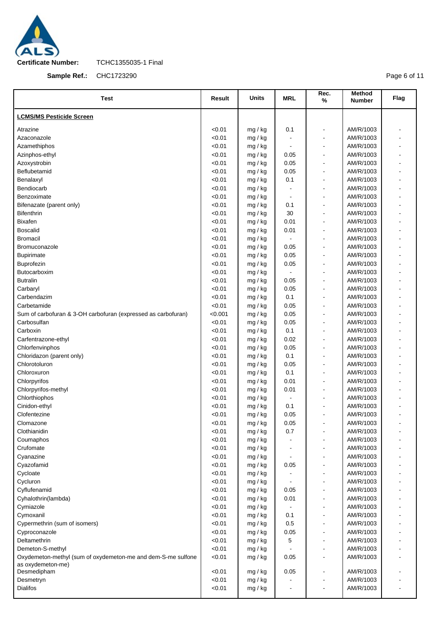

**Sample Ref.:** CHC1723290

Page 6 of 11

| <b>LCMS/MS Pesticide Screen</b><br>Atrazine<br>< 0.01<br>0.1<br>AM/R/1003<br>mg / kg<br>$\blacksquare$<br>< 0.01<br>AM/R/1003<br>Azaconazole<br>mg / kg<br>$\qquad \qquad \blacksquare$<br>Azamethiphos<br>< 0.01<br>AM/R/1003<br>mg / kg<br>$\overline{a}$<br>AM/R/1003<br>Azinphos-ethyl<br>< 0.01<br>mg / kg<br>0.05<br>$\overline{\phantom{a}}$<br>< 0.01<br>AM/R/1003<br>Azoxystrobin<br>mg / kg<br>0.05<br>$\blacksquare$<br>Beflubetamid<br>< 0.01<br>AM/R/1003<br>0.05<br>mg / kg<br>$\overline{a}$<br>Benalaxyl<br>< 0.01<br>0.1<br>AM/R/1003<br>mg / kg<br>$\blacksquare$<br>Bendiocarb<br>< 0.01<br>AM/R/1003<br>mg / kg<br>$\blacksquare$<br>$\overline{a}$<br>Benzoximate<br>< 0.01<br>AM/R/1003<br>mg / kg<br>$\blacksquare$<br>$\overline{a}$<br>< 0.01<br>AM/R/1003<br>Bifenazate (parent only)<br>mg / kg<br>0.1<br>$\overline{\phantom{a}}$<br><b>Bifenthrin</b><br>< 0.01<br>30<br>AM/R/1003<br>mg / kg<br>$\blacksquare$<br><b>Bixafen</b><br>< 0.01<br>0.01<br>AM/R/1003<br>mg / kg<br>$\qquad \qquad \blacksquare$<br>< 0.01<br>0.01<br>AM/R/1003<br><b>Boscalid</b><br>mg / kg<br>$\blacksquare$<br>< 0.01<br>AM/R/1003<br><b>Bromacil</b><br>mg / kg<br>ä,<br>< 0.01<br>AM/R/1003<br>Bromuconazole<br>0.05<br>mg / kg<br>$\blacksquare$<br>< 0.01<br>AM/R/1003<br><b>Bupirimate</b><br>0.05<br>mg / kg<br>$\blacksquare$<br>Buprofezin<br>< 0.01<br>0.05<br>AM/R/1003<br>mg / kg<br>$\qquad \qquad \blacksquare$<br>Butocarboxim<br>< 0.01<br>AM/R/1003<br>mg / kg<br>$\blacksquare$<br><b>Butralin</b><br>< 0.01<br>AM/R/1003<br>0.05<br>mg / kg<br>$\overline{\phantom{a}}$<br>< 0.01<br>0.05<br>AM/R/1003<br>Carbaryl<br>mg / kg<br>$\blacksquare$<br>Carbendazim<br>< 0.01<br>0.1<br>AM/R/1003<br>mg / kg<br>$\overline{a}$<br>< 0.01<br>AM/R/1003<br>Carbetamide<br>mg / kg<br>0.05<br>$\blacksquare$<br>< 0.001<br>0.05<br>AM/R/1003<br>Sum of carbofuran & 3-OH carbofuran (expressed as carbofuran)<br>mg / kg<br>$\overline{a}$<br>Carbosulfan<br>< 0.01<br>AM/R/1003<br>mg / kg<br>0.05<br>$\blacksquare$<br>< 0.01<br>0.1<br>AM/R/1003<br>Carboxin<br>mg / kg<br>$\overline{a}$<br>< 0.01<br>0.02<br>AM/R/1003<br>Carfentrazone-ethyl<br>mg / kg<br>ä,<br>< 0.01<br>0.05<br>AM/R/1003<br>Chlorfenvinphos<br>mg / kg<br>$\blacksquare$<br>< 0.01<br>0.1<br>AM/R/1003<br>Chloridazon (parent only)<br>mg / kg<br>$\blacksquare$<br>Chlorotoluron<br>< 0.01<br>0.05<br>AM/R/1003<br>mg / kg<br>$\overline{\phantom{a}}$<br>Chloroxuron<br>< 0.01<br>0.1<br>AM/R/1003<br>mg / kg<br>ä,<br>Chlorpyrifos<br>< 0.01<br>0.01<br>AM/R/1003<br>mg / kg<br>< 0.01<br>0.01<br>AM/R/1003<br>Chlorpyrifos-methyl<br>mg / kg<br>$\overline{\phantom{a}}$<br>< 0.01<br>AM/R/1003<br>Chlorthiophos<br>mg / kg<br>< 0.01<br>AM/R/1003<br>Cinidon-ethyl<br>0.1<br>mg / kg<br>$\blacksquare$<br>AM/R/1003<br>< 0.01<br>0.05<br>Clofentezine<br>mg / kg<br>< 0.01<br>0.05<br>AM/R/1003<br>Clomazone<br>mg / kg<br>$\overline{\phantom{a}}$<br>Clothianidin<br>< 0.01<br>0.7<br>AM/R/1003<br>mg / kg<br>$\blacksquare$<br>< 0.01<br>Coumaphos<br>AM/R/1003<br>mg / kg<br>< 0.01<br>Crufomate<br>AM/R/1003<br>mg / kg<br>< 0.01<br>AM/R/1003<br>Cyanazine<br>mg / kg<br>< 0.01<br>Cyazofamid<br>AM/R/1003<br>mg / kg<br>0.05<br>< 0.01<br>AM/R/1003<br>Cycloate<br>mg / kg<br>Cycluron<br>< 0.01<br>AM/R/1003<br>mg / kg<br>$\blacksquare$<br>< 0.01<br>AM/R/1003<br>Cyflufenamid<br>mg / kg<br>0.05<br>< 0.01<br>AM/R/1003<br>Cyhalothrin(lambda)<br>0.01<br>mg / kg<br>< 0.01<br>Cymiazole<br>mg / kg<br>AM/R/1003<br>< 0.01<br>Cymoxanil<br>0.1<br>AM/R/1003<br>mg / kg<br>< 0.01<br>0.5<br>Cypermethrin (sum of isomers)<br>AM/R/1003<br>mg / kg<br>< 0.01<br>0.05<br>AM/R/1003<br>Cyproconazole<br>mg / kg<br>< 0.01<br>5<br>Deltamethrin<br>AM/R/1003<br>mg / kg<br>< 0.01<br>AM/R/1003<br>Demeton-S-methyl<br>mg / kg<br>$\overline{a}$<br>Oxydemeton-methyl (sum of oxydemeton-me and dem-S-me sulfone<br>< 0.01<br>0.05<br>AM/R/1003<br>mg / kg<br>$\overline{\phantom{a}}$<br>as oxydemeton-me)<br>Desmedipham<br>< 0.01<br>0.05<br>AM/R/1003<br>mg / kg<br>$\qquad \qquad \blacksquare$<br>< 0.01<br>AM/R/1003<br>Desmetryn<br>mg / kg<br><b>Dialifos</b><br>AM/R/1003<br>< 0.01<br>mg / kg | Test | Result | Units | <b>MRL</b> | Rec.<br>% | Method<br><b>Number</b> | Flag |
|--------------------------------------------------------------------------------------------------------------------------------------------------------------------------------------------------------------------------------------------------------------------------------------------------------------------------------------------------------------------------------------------------------------------------------------------------------------------------------------------------------------------------------------------------------------------------------------------------------------------------------------------------------------------------------------------------------------------------------------------------------------------------------------------------------------------------------------------------------------------------------------------------------------------------------------------------------------------------------------------------------------------------------------------------------------------------------------------------------------------------------------------------------------------------------------------------------------------------------------------------------------------------------------------------------------------------------------------------------------------------------------------------------------------------------------------------------------------------------------------------------------------------------------------------------------------------------------------------------------------------------------------------------------------------------------------------------------------------------------------------------------------------------------------------------------------------------------------------------------------------------------------------------------------------------------------------------------------------------------------------------------------------------------------------------------------------------------------------------------------------------------------------------------------------------------------------------------------------------------------------------------------------------------------------------------------------------------------------------------------------------------------------------------------------------------------------------------------------------------------------------------------------------------------------------------------------------------------------------------------------------------------------------------------------------------------------------------------------------------------------------------------------------------------------------------------------------------------------------------------------------------------------------------------------------------------------------------------------------------------------------------------------------------------------------------------------------------------------------------------------------------------------------------------------------------------------------------------------------------------------------------------------------------------------------------------------------------------------------------------------------------------------------------------------------------------------------------------------------------------------------------------------------------------------------------------------------------------------------------------------------------------------------------------------------------------------------------------------------------------------------------------------------------------------------------------------------------------------------------------------------------------------------------------------------------------------------------------------------------------------------------------------------------------------------------------------------------------------------------------------------------------------------------------------------------------------------------------|------|--------|-------|------------|-----------|-------------------------|------|
|                                                                                                                                                                                                                                                                                                                                                                                                                                                                                                                                                                                                                                                                                                                                                                                                                                                                                                                                                                                                                                                                                                                                                                                                                                                                                                                                                                                                                                                                                                                                                                                                                                                                                                                                                                                                                                                                                                                                                                                                                                                                                                                                                                                                                                                                                                                                                                                                                                                                                                                                                                                                                                                                                                                                                                                                                                                                                                                                                                                                                                                                                                                                                                                                                                                                                                                                                                                                                                                                                                                                                                                                                                                                                                                                                                                                                                                                                                                                                                                                                                                                                                                                                                                                                    |      |        |       |            |           |                         |      |
|                                                                                                                                                                                                                                                                                                                                                                                                                                                                                                                                                                                                                                                                                                                                                                                                                                                                                                                                                                                                                                                                                                                                                                                                                                                                                                                                                                                                                                                                                                                                                                                                                                                                                                                                                                                                                                                                                                                                                                                                                                                                                                                                                                                                                                                                                                                                                                                                                                                                                                                                                                                                                                                                                                                                                                                                                                                                                                                                                                                                                                                                                                                                                                                                                                                                                                                                                                                                                                                                                                                                                                                                                                                                                                                                                                                                                                                                                                                                                                                                                                                                                                                                                                                                                    |      |        |       |            |           |                         |      |
|                                                                                                                                                                                                                                                                                                                                                                                                                                                                                                                                                                                                                                                                                                                                                                                                                                                                                                                                                                                                                                                                                                                                                                                                                                                                                                                                                                                                                                                                                                                                                                                                                                                                                                                                                                                                                                                                                                                                                                                                                                                                                                                                                                                                                                                                                                                                                                                                                                                                                                                                                                                                                                                                                                                                                                                                                                                                                                                                                                                                                                                                                                                                                                                                                                                                                                                                                                                                                                                                                                                                                                                                                                                                                                                                                                                                                                                                                                                                                                                                                                                                                                                                                                                                                    |      |        |       |            |           |                         |      |
|                                                                                                                                                                                                                                                                                                                                                                                                                                                                                                                                                                                                                                                                                                                                                                                                                                                                                                                                                                                                                                                                                                                                                                                                                                                                                                                                                                                                                                                                                                                                                                                                                                                                                                                                                                                                                                                                                                                                                                                                                                                                                                                                                                                                                                                                                                                                                                                                                                                                                                                                                                                                                                                                                                                                                                                                                                                                                                                                                                                                                                                                                                                                                                                                                                                                                                                                                                                                                                                                                                                                                                                                                                                                                                                                                                                                                                                                                                                                                                                                                                                                                                                                                                                                                    |      |        |       |            |           |                         |      |
|                                                                                                                                                                                                                                                                                                                                                                                                                                                                                                                                                                                                                                                                                                                                                                                                                                                                                                                                                                                                                                                                                                                                                                                                                                                                                                                                                                                                                                                                                                                                                                                                                                                                                                                                                                                                                                                                                                                                                                                                                                                                                                                                                                                                                                                                                                                                                                                                                                                                                                                                                                                                                                                                                                                                                                                                                                                                                                                                                                                                                                                                                                                                                                                                                                                                                                                                                                                                                                                                                                                                                                                                                                                                                                                                                                                                                                                                                                                                                                                                                                                                                                                                                                                                                    |      |        |       |            |           |                         |      |
|                                                                                                                                                                                                                                                                                                                                                                                                                                                                                                                                                                                                                                                                                                                                                                                                                                                                                                                                                                                                                                                                                                                                                                                                                                                                                                                                                                                                                                                                                                                                                                                                                                                                                                                                                                                                                                                                                                                                                                                                                                                                                                                                                                                                                                                                                                                                                                                                                                                                                                                                                                                                                                                                                                                                                                                                                                                                                                                                                                                                                                                                                                                                                                                                                                                                                                                                                                                                                                                                                                                                                                                                                                                                                                                                                                                                                                                                                                                                                                                                                                                                                                                                                                                                                    |      |        |       |            |           |                         |      |
|                                                                                                                                                                                                                                                                                                                                                                                                                                                                                                                                                                                                                                                                                                                                                                                                                                                                                                                                                                                                                                                                                                                                                                                                                                                                                                                                                                                                                                                                                                                                                                                                                                                                                                                                                                                                                                                                                                                                                                                                                                                                                                                                                                                                                                                                                                                                                                                                                                                                                                                                                                                                                                                                                                                                                                                                                                                                                                                                                                                                                                                                                                                                                                                                                                                                                                                                                                                                                                                                                                                                                                                                                                                                                                                                                                                                                                                                                                                                                                                                                                                                                                                                                                                                                    |      |        |       |            |           |                         |      |
|                                                                                                                                                                                                                                                                                                                                                                                                                                                                                                                                                                                                                                                                                                                                                                                                                                                                                                                                                                                                                                                                                                                                                                                                                                                                                                                                                                                                                                                                                                                                                                                                                                                                                                                                                                                                                                                                                                                                                                                                                                                                                                                                                                                                                                                                                                                                                                                                                                                                                                                                                                                                                                                                                                                                                                                                                                                                                                                                                                                                                                                                                                                                                                                                                                                                                                                                                                                                                                                                                                                                                                                                                                                                                                                                                                                                                                                                                                                                                                                                                                                                                                                                                                                                                    |      |        |       |            |           |                         |      |
|                                                                                                                                                                                                                                                                                                                                                                                                                                                                                                                                                                                                                                                                                                                                                                                                                                                                                                                                                                                                                                                                                                                                                                                                                                                                                                                                                                                                                                                                                                                                                                                                                                                                                                                                                                                                                                                                                                                                                                                                                                                                                                                                                                                                                                                                                                                                                                                                                                                                                                                                                                                                                                                                                                                                                                                                                                                                                                                                                                                                                                                                                                                                                                                                                                                                                                                                                                                                                                                                                                                                                                                                                                                                                                                                                                                                                                                                                                                                                                                                                                                                                                                                                                                                                    |      |        |       |            |           |                         |      |
|                                                                                                                                                                                                                                                                                                                                                                                                                                                                                                                                                                                                                                                                                                                                                                                                                                                                                                                                                                                                                                                                                                                                                                                                                                                                                                                                                                                                                                                                                                                                                                                                                                                                                                                                                                                                                                                                                                                                                                                                                                                                                                                                                                                                                                                                                                                                                                                                                                                                                                                                                                                                                                                                                                                                                                                                                                                                                                                                                                                                                                                                                                                                                                                                                                                                                                                                                                                                                                                                                                                                                                                                                                                                                                                                                                                                                                                                                                                                                                                                                                                                                                                                                                                                                    |      |        |       |            |           |                         |      |
|                                                                                                                                                                                                                                                                                                                                                                                                                                                                                                                                                                                                                                                                                                                                                                                                                                                                                                                                                                                                                                                                                                                                                                                                                                                                                                                                                                                                                                                                                                                                                                                                                                                                                                                                                                                                                                                                                                                                                                                                                                                                                                                                                                                                                                                                                                                                                                                                                                                                                                                                                                                                                                                                                                                                                                                                                                                                                                                                                                                                                                                                                                                                                                                                                                                                                                                                                                                                                                                                                                                                                                                                                                                                                                                                                                                                                                                                                                                                                                                                                                                                                                                                                                                                                    |      |        |       |            |           |                         |      |
|                                                                                                                                                                                                                                                                                                                                                                                                                                                                                                                                                                                                                                                                                                                                                                                                                                                                                                                                                                                                                                                                                                                                                                                                                                                                                                                                                                                                                                                                                                                                                                                                                                                                                                                                                                                                                                                                                                                                                                                                                                                                                                                                                                                                                                                                                                                                                                                                                                                                                                                                                                                                                                                                                                                                                                                                                                                                                                                                                                                                                                                                                                                                                                                                                                                                                                                                                                                                                                                                                                                                                                                                                                                                                                                                                                                                                                                                                                                                                                                                                                                                                                                                                                                                                    |      |        |       |            |           |                         |      |
|                                                                                                                                                                                                                                                                                                                                                                                                                                                                                                                                                                                                                                                                                                                                                                                                                                                                                                                                                                                                                                                                                                                                                                                                                                                                                                                                                                                                                                                                                                                                                                                                                                                                                                                                                                                                                                                                                                                                                                                                                                                                                                                                                                                                                                                                                                                                                                                                                                                                                                                                                                                                                                                                                                                                                                                                                                                                                                                                                                                                                                                                                                                                                                                                                                                                                                                                                                                                                                                                                                                                                                                                                                                                                                                                                                                                                                                                                                                                                                                                                                                                                                                                                                                                                    |      |        |       |            |           |                         |      |
|                                                                                                                                                                                                                                                                                                                                                                                                                                                                                                                                                                                                                                                                                                                                                                                                                                                                                                                                                                                                                                                                                                                                                                                                                                                                                                                                                                                                                                                                                                                                                                                                                                                                                                                                                                                                                                                                                                                                                                                                                                                                                                                                                                                                                                                                                                                                                                                                                                                                                                                                                                                                                                                                                                                                                                                                                                                                                                                                                                                                                                                                                                                                                                                                                                                                                                                                                                                                                                                                                                                                                                                                                                                                                                                                                                                                                                                                                                                                                                                                                                                                                                                                                                                                                    |      |        |       |            |           |                         |      |
|                                                                                                                                                                                                                                                                                                                                                                                                                                                                                                                                                                                                                                                                                                                                                                                                                                                                                                                                                                                                                                                                                                                                                                                                                                                                                                                                                                                                                                                                                                                                                                                                                                                                                                                                                                                                                                                                                                                                                                                                                                                                                                                                                                                                                                                                                                                                                                                                                                                                                                                                                                                                                                                                                                                                                                                                                                                                                                                                                                                                                                                                                                                                                                                                                                                                                                                                                                                                                                                                                                                                                                                                                                                                                                                                                                                                                                                                                                                                                                                                                                                                                                                                                                                                                    |      |        |       |            |           |                         |      |
|                                                                                                                                                                                                                                                                                                                                                                                                                                                                                                                                                                                                                                                                                                                                                                                                                                                                                                                                                                                                                                                                                                                                                                                                                                                                                                                                                                                                                                                                                                                                                                                                                                                                                                                                                                                                                                                                                                                                                                                                                                                                                                                                                                                                                                                                                                                                                                                                                                                                                                                                                                                                                                                                                                                                                                                                                                                                                                                                                                                                                                                                                                                                                                                                                                                                                                                                                                                                                                                                                                                                                                                                                                                                                                                                                                                                                                                                                                                                                                                                                                                                                                                                                                                                                    |      |        |       |            |           |                         |      |
|                                                                                                                                                                                                                                                                                                                                                                                                                                                                                                                                                                                                                                                                                                                                                                                                                                                                                                                                                                                                                                                                                                                                                                                                                                                                                                                                                                                                                                                                                                                                                                                                                                                                                                                                                                                                                                                                                                                                                                                                                                                                                                                                                                                                                                                                                                                                                                                                                                                                                                                                                                                                                                                                                                                                                                                                                                                                                                                                                                                                                                                                                                                                                                                                                                                                                                                                                                                                                                                                                                                                                                                                                                                                                                                                                                                                                                                                                                                                                                                                                                                                                                                                                                                                                    |      |        |       |            |           |                         |      |
|                                                                                                                                                                                                                                                                                                                                                                                                                                                                                                                                                                                                                                                                                                                                                                                                                                                                                                                                                                                                                                                                                                                                                                                                                                                                                                                                                                                                                                                                                                                                                                                                                                                                                                                                                                                                                                                                                                                                                                                                                                                                                                                                                                                                                                                                                                                                                                                                                                                                                                                                                                                                                                                                                                                                                                                                                                                                                                                                                                                                                                                                                                                                                                                                                                                                                                                                                                                                                                                                                                                                                                                                                                                                                                                                                                                                                                                                                                                                                                                                                                                                                                                                                                                                                    |      |        |       |            |           |                         |      |
|                                                                                                                                                                                                                                                                                                                                                                                                                                                                                                                                                                                                                                                                                                                                                                                                                                                                                                                                                                                                                                                                                                                                                                                                                                                                                                                                                                                                                                                                                                                                                                                                                                                                                                                                                                                                                                                                                                                                                                                                                                                                                                                                                                                                                                                                                                                                                                                                                                                                                                                                                                                                                                                                                                                                                                                                                                                                                                                                                                                                                                                                                                                                                                                                                                                                                                                                                                                                                                                                                                                                                                                                                                                                                                                                                                                                                                                                                                                                                                                                                                                                                                                                                                                                                    |      |        |       |            |           |                         |      |
|                                                                                                                                                                                                                                                                                                                                                                                                                                                                                                                                                                                                                                                                                                                                                                                                                                                                                                                                                                                                                                                                                                                                                                                                                                                                                                                                                                                                                                                                                                                                                                                                                                                                                                                                                                                                                                                                                                                                                                                                                                                                                                                                                                                                                                                                                                                                                                                                                                                                                                                                                                                                                                                                                                                                                                                                                                                                                                                                                                                                                                                                                                                                                                                                                                                                                                                                                                                                                                                                                                                                                                                                                                                                                                                                                                                                                                                                                                                                                                                                                                                                                                                                                                                                                    |      |        |       |            |           |                         |      |
|                                                                                                                                                                                                                                                                                                                                                                                                                                                                                                                                                                                                                                                                                                                                                                                                                                                                                                                                                                                                                                                                                                                                                                                                                                                                                                                                                                                                                                                                                                                                                                                                                                                                                                                                                                                                                                                                                                                                                                                                                                                                                                                                                                                                                                                                                                                                                                                                                                                                                                                                                                                                                                                                                                                                                                                                                                                                                                                                                                                                                                                                                                                                                                                                                                                                                                                                                                                                                                                                                                                                                                                                                                                                                                                                                                                                                                                                                                                                                                                                                                                                                                                                                                                                                    |      |        |       |            |           |                         |      |
|                                                                                                                                                                                                                                                                                                                                                                                                                                                                                                                                                                                                                                                                                                                                                                                                                                                                                                                                                                                                                                                                                                                                                                                                                                                                                                                                                                                                                                                                                                                                                                                                                                                                                                                                                                                                                                                                                                                                                                                                                                                                                                                                                                                                                                                                                                                                                                                                                                                                                                                                                                                                                                                                                                                                                                                                                                                                                                                                                                                                                                                                                                                                                                                                                                                                                                                                                                                                                                                                                                                                                                                                                                                                                                                                                                                                                                                                                                                                                                                                                                                                                                                                                                                                                    |      |        |       |            |           |                         |      |
|                                                                                                                                                                                                                                                                                                                                                                                                                                                                                                                                                                                                                                                                                                                                                                                                                                                                                                                                                                                                                                                                                                                                                                                                                                                                                                                                                                                                                                                                                                                                                                                                                                                                                                                                                                                                                                                                                                                                                                                                                                                                                                                                                                                                                                                                                                                                                                                                                                                                                                                                                                                                                                                                                                                                                                                                                                                                                                                                                                                                                                                                                                                                                                                                                                                                                                                                                                                                                                                                                                                                                                                                                                                                                                                                                                                                                                                                                                                                                                                                                                                                                                                                                                                                                    |      |        |       |            |           |                         |      |
|                                                                                                                                                                                                                                                                                                                                                                                                                                                                                                                                                                                                                                                                                                                                                                                                                                                                                                                                                                                                                                                                                                                                                                                                                                                                                                                                                                                                                                                                                                                                                                                                                                                                                                                                                                                                                                                                                                                                                                                                                                                                                                                                                                                                                                                                                                                                                                                                                                                                                                                                                                                                                                                                                                                                                                                                                                                                                                                                                                                                                                                                                                                                                                                                                                                                                                                                                                                                                                                                                                                                                                                                                                                                                                                                                                                                                                                                                                                                                                                                                                                                                                                                                                                                                    |      |        |       |            |           |                         |      |
|                                                                                                                                                                                                                                                                                                                                                                                                                                                                                                                                                                                                                                                                                                                                                                                                                                                                                                                                                                                                                                                                                                                                                                                                                                                                                                                                                                                                                                                                                                                                                                                                                                                                                                                                                                                                                                                                                                                                                                                                                                                                                                                                                                                                                                                                                                                                                                                                                                                                                                                                                                                                                                                                                                                                                                                                                                                                                                                                                                                                                                                                                                                                                                                                                                                                                                                                                                                                                                                                                                                                                                                                                                                                                                                                                                                                                                                                                                                                                                                                                                                                                                                                                                                                                    |      |        |       |            |           |                         |      |
|                                                                                                                                                                                                                                                                                                                                                                                                                                                                                                                                                                                                                                                                                                                                                                                                                                                                                                                                                                                                                                                                                                                                                                                                                                                                                                                                                                                                                                                                                                                                                                                                                                                                                                                                                                                                                                                                                                                                                                                                                                                                                                                                                                                                                                                                                                                                                                                                                                                                                                                                                                                                                                                                                                                                                                                                                                                                                                                                                                                                                                                                                                                                                                                                                                                                                                                                                                                                                                                                                                                                                                                                                                                                                                                                                                                                                                                                                                                                                                                                                                                                                                                                                                                                                    |      |        |       |            |           |                         |      |
|                                                                                                                                                                                                                                                                                                                                                                                                                                                                                                                                                                                                                                                                                                                                                                                                                                                                                                                                                                                                                                                                                                                                                                                                                                                                                                                                                                                                                                                                                                                                                                                                                                                                                                                                                                                                                                                                                                                                                                                                                                                                                                                                                                                                                                                                                                                                                                                                                                                                                                                                                                                                                                                                                                                                                                                                                                                                                                                                                                                                                                                                                                                                                                                                                                                                                                                                                                                                                                                                                                                                                                                                                                                                                                                                                                                                                                                                                                                                                                                                                                                                                                                                                                                                                    |      |        |       |            |           |                         |      |
|                                                                                                                                                                                                                                                                                                                                                                                                                                                                                                                                                                                                                                                                                                                                                                                                                                                                                                                                                                                                                                                                                                                                                                                                                                                                                                                                                                                                                                                                                                                                                                                                                                                                                                                                                                                                                                                                                                                                                                                                                                                                                                                                                                                                                                                                                                                                                                                                                                                                                                                                                                                                                                                                                                                                                                                                                                                                                                                                                                                                                                                                                                                                                                                                                                                                                                                                                                                                                                                                                                                                                                                                                                                                                                                                                                                                                                                                                                                                                                                                                                                                                                                                                                                                                    |      |        |       |            |           |                         |      |
|                                                                                                                                                                                                                                                                                                                                                                                                                                                                                                                                                                                                                                                                                                                                                                                                                                                                                                                                                                                                                                                                                                                                                                                                                                                                                                                                                                                                                                                                                                                                                                                                                                                                                                                                                                                                                                                                                                                                                                                                                                                                                                                                                                                                                                                                                                                                                                                                                                                                                                                                                                                                                                                                                                                                                                                                                                                                                                                                                                                                                                                                                                                                                                                                                                                                                                                                                                                                                                                                                                                                                                                                                                                                                                                                                                                                                                                                                                                                                                                                                                                                                                                                                                                                                    |      |        |       |            |           |                         |      |
|                                                                                                                                                                                                                                                                                                                                                                                                                                                                                                                                                                                                                                                                                                                                                                                                                                                                                                                                                                                                                                                                                                                                                                                                                                                                                                                                                                                                                                                                                                                                                                                                                                                                                                                                                                                                                                                                                                                                                                                                                                                                                                                                                                                                                                                                                                                                                                                                                                                                                                                                                                                                                                                                                                                                                                                                                                                                                                                                                                                                                                                                                                                                                                                                                                                                                                                                                                                                                                                                                                                                                                                                                                                                                                                                                                                                                                                                                                                                                                                                                                                                                                                                                                                                                    |      |        |       |            |           |                         |      |
|                                                                                                                                                                                                                                                                                                                                                                                                                                                                                                                                                                                                                                                                                                                                                                                                                                                                                                                                                                                                                                                                                                                                                                                                                                                                                                                                                                                                                                                                                                                                                                                                                                                                                                                                                                                                                                                                                                                                                                                                                                                                                                                                                                                                                                                                                                                                                                                                                                                                                                                                                                                                                                                                                                                                                                                                                                                                                                                                                                                                                                                                                                                                                                                                                                                                                                                                                                                                                                                                                                                                                                                                                                                                                                                                                                                                                                                                                                                                                                                                                                                                                                                                                                                                                    |      |        |       |            |           |                         |      |
|                                                                                                                                                                                                                                                                                                                                                                                                                                                                                                                                                                                                                                                                                                                                                                                                                                                                                                                                                                                                                                                                                                                                                                                                                                                                                                                                                                                                                                                                                                                                                                                                                                                                                                                                                                                                                                                                                                                                                                                                                                                                                                                                                                                                                                                                                                                                                                                                                                                                                                                                                                                                                                                                                                                                                                                                                                                                                                                                                                                                                                                                                                                                                                                                                                                                                                                                                                                                                                                                                                                                                                                                                                                                                                                                                                                                                                                                                                                                                                                                                                                                                                                                                                                                                    |      |        |       |            |           |                         |      |
|                                                                                                                                                                                                                                                                                                                                                                                                                                                                                                                                                                                                                                                                                                                                                                                                                                                                                                                                                                                                                                                                                                                                                                                                                                                                                                                                                                                                                                                                                                                                                                                                                                                                                                                                                                                                                                                                                                                                                                                                                                                                                                                                                                                                                                                                                                                                                                                                                                                                                                                                                                                                                                                                                                                                                                                                                                                                                                                                                                                                                                                                                                                                                                                                                                                                                                                                                                                                                                                                                                                                                                                                                                                                                                                                                                                                                                                                                                                                                                                                                                                                                                                                                                                                                    |      |        |       |            |           |                         |      |
|                                                                                                                                                                                                                                                                                                                                                                                                                                                                                                                                                                                                                                                                                                                                                                                                                                                                                                                                                                                                                                                                                                                                                                                                                                                                                                                                                                                                                                                                                                                                                                                                                                                                                                                                                                                                                                                                                                                                                                                                                                                                                                                                                                                                                                                                                                                                                                                                                                                                                                                                                                                                                                                                                                                                                                                                                                                                                                                                                                                                                                                                                                                                                                                                                                                                                                                                                                                                                                                                                                                                                                                                                                                                                                                                                                                                                                                                                                                                                                                                                                                                                                                                                                                                                    |      |        |       |            |           |                         |      |
|                                                                                                                                                                                                                                                                                                                                                                                                                                                                                                                                                                                                                                                                                                                                                                                                                                                                                                                                                                                                                                                                                                                                                                                                                                                                                                                                                                                                                                                                                                                                                                                                                                                                                                                                                                                                                                                                                                                                                                                                                                                                                                                                                                                                                                                                                                                                                                                                                                                                                                                                                                                                                                                                                                                                                                                                                                                                                                                                                                                                                                                                                                                                                                                                                                                                                                                                                                                                                                                                                                                                                                                                                                                                                                                                                                                                                                                                                                                                                                                                                                                                                                                                                                                                                    |      |        |       |            |           |                         |      |
|                                                                                                                                                                                                                                                                                                                                                                                                                                                                                                                                                                                                                                                                                                                                                                                                                                                                                                                                                                                                                                                                                                                                                                                                                                                                                                                                                                                                                                                                                                                                                                                                                                                                                                                                                                                                                                                                                                                                                                                                                                                                                                                                                                                                                                                                                                                                                                                                                                                                                                                                                                                                                                                                                                                                                                                                                                                                                                                                                                                                                                                                                                                                                                                                                                                                                                                                                                                                                                                                                                                                                                                                                                                                                                                                                                                                                                                                                                                                                                                                                                                                                                                                                                                                                    |      |        |       |            |           |                         |      |
|                                                                                                                                                                                                                                                                                                                                                                                                                                                                                                                                                                                                                                                                                                                                                                                                                                                                                                                                                                                                                                                                                                                                                                                                                                                                                                                                                                                                                                                                                                                                                                                                                                                                                                                                                                                                                                                                                                                                                                                                                                                                                                                                                                                                                                                                                                                                                                                                                                                                                                                                                                                                                                                                                                                                                                                                                                                                                                                                                                                                                                                                                                                                                                                                                                                                                                                                                                                                                                                                                                                                                                                                                                                                                                                                                                                                                                                                                                                                                                                                                                                                                                                                                                                                                    |      |        |       |            |           |                         |      |
|                                                                                                                                                                                                                                                                                                                                                                                                                                                                                                                                                                                                                                                                                                                                                                                                                                                                                                                                                                                                                                                                                                                                                                                                                                                                                                                                                                                                                                                                                                                                                                                                                                                                                                                                                                                                                                                                                                                                                                                                                                                                                                                                                                                                                                                                                                                                                                                                                                                                                                                                                                                                                                                                                                                                                                                                                                                                                                                                                                                                                                                                                                                                                                                                                                                                                                                                                                                                                                                                                                                                                                                                                                                                                                                                                                                                                                                                                                                                                                                                                                                                                                                                                                                                                    |      |        |       |            |           |                         |      |
|                                                                                                                                                                                                                                                                                                                                                                                                                                                                                                                                                                                                                                                                                                                                                                                                                                                                                                                                                                                                                                                                                                                                                                                                                                                                                                                                                                                                                                                                                                                                                                                                                                                                                                                                                                                                                                                                                                                                                                                                                                                                                                                                                                                                                                                                                                                                                                                                                                                                                                                                                                                                                                                                                                                                                                                                                                                                                                                                                                                                                                                                                                                                                                                                                                                                                                                                                                                                                                                                                                                                                                                                                                                                                                                                                                                                                                                                                                                                                                                                                                                                                                                                                                                                                    |      |        |       |            |           |                         |      |
|                                                                                                                                                                                                                                                                                                                                                                                                                                                                                                                                                                                                                                                                                                                                                                                                                                                                                                                                                                                                                                                                                                                                                                                                                                                                                                                                                                                                                                                                                                                                                                                                                                                                                                                                                                                                                                                                                                                                                                                                                                                                                                                                                                                                                                                                                                                                                                                                                                                                                                                                                                                                                                                                                                                                                                                                                                                                                                                                                                                                                                                                                                                                                                                                                                                                                                                                                                                                                                                                                                                                                                                                                                                                                                                                                                                                                                                                                                                                                                                                                                                                                                                                                                                                                    |      |        |       |            |           |                         |      |
|                                                                                                                                                                                                                                                                                                                                                                                                                                                                                                                                                                                                                                                                                                                                                                                                                                                                                                                                                                                                                                                                                                                                                                                                                                                                                                                                                                                                                                                                                                                                                                                                                                                                                                                                                                                                                                                                                                                                                                                                                                                                                                                                                                                                                                                                                                                                                                                                                                                                                                                                                                                                                                                                                                                                                                                                                                                                                                                                                                                                                                                                                                                                                                                                                                                                                                                                                                                                                                                                                                                                                                                                                                                                                                                                                                                                                                                                                                                                                                                                                                                                                                                                                                                                                    |      |        |       |            |           |                         |      |
|                                                                                                                                                                                                                                                                                                                                                                                                                                                                                                                                                                                                                                                                                                                                                                                                                                                                                                                                                                                                                                                                                                                                                                                                                                                                                                                                                                                                                                                                                                                                                                                                                                                                                                                                                                                                                                                                                                                                                                                                                                                                                                                                                                                                                                                                                                                                                                                                                                                                                                                                                                                                                                                                                                                                                                                                                                                                                                                                                                                                                                                                                                                                                                                                                                                                                                                                                                                                                                                                                                                                                                                                                                                                                                                                                                                                                                                                                                                                                                                                                                                                                                                                                                                                                    |      |        |       |            |           |                         |      |
|                                                                                                                                                                                                                                                                                                                                                                                                                                                                                                                                                                                                                                                                                                                                                                                                                                                                                                                                                                                                                                                                                                                                                                                                                                                                                                                                                                                                                                                                                                                                                                                                                                                                                                                                                                                                                                                                                                                                                                                                                                                                                                                                                                                                                                                                                                                                                                                                                                                                                                                                                                                                                                                                                                                                                                                                                                                                                                                                                                                                                                                                                                                                                                                                                                                                                                                                                                                                                                                                                                                                                                                                                                                                                                                                                                                                                                                                                                                                                                                                                                                                                                                                                                                                                    |      |        |       |            |           |                         |      |
|                                                                                                                                                                                                                                                                                                                                                                                                                                                                                                                                                                                                                                                                                                                                                                                                                                                                                                                                                                                                                                                                                                                                                                                                                                                                                                                                                                                                                                                                                                                                                                                                                                                                                                                                                                                                                                                                                                                                                                                                                                                                                                                                                                                                                                                                                                                                                                                                                                                                                                                                                                                                                                                                                                                                                                                                                                                                                                                                                                                                                                                                                                                                                                                                                                                                                                                                                                                                                                                                                                                                                                                                                                                                                                                                                                                                                                                                                                                                                                                                                                                                                                                                                                                                                    |      |        |       |            |           |                         |      |
|                                                                                                                                                                                                                                                                                                                                                                                                                                                                                                                                                                                                                                                                                                                                                                                                                                                                                                                                                                                                                                                                                                                                                                                                                                                                                                                                                                                                                                                                                                                                                                                                                                                                                                                                                                                                                                                                                                                                                                                                                                                                                                                                                                                                                                                                                                                                                                                                                                                                                                                                                                                                                                                                                                                                                                                                                                                                                                                                                                                                                                                                                                                                                                                                                                                                                                                                                                                                                                                                                                                                                                                                                                                                                                                                                                                                                                                                                                                                                                                                                                                                                                                                                                                                                    |      |        |       |            |           |                         |      |
|                                                                                                                                                                                                                                                                                                                                                                                                                                                                                                                                                                                                                                                                                                                                                                                                                                                                                                                                                                                                                                                                                                                                                                                                                                                                                                                                                                                                                                                                                                                                                                                                                                                                                                                                                                                                                                                                                                                                                                                                                                                                                                                                                                                                                                                                                                                                                                                                                                                                                                                                                                                                                                                                                                                                                                                                                                                                                                                                                                                                                                                                                                                                                                                                                                                                                                                                                                                                                                                                                                                                                                                                                                                                                                                                                                                                                                                                                                                                                                                                                                                                                                                                                                                                                    |      |        |       |            |           |                         |      |
|                                                                                                                                                                                                                                                                                                                                                                                                                                                                                                                                                                                                                                                                                                                                                                                                                                                                                                                                                                                                                                                                                                                                                                                                                                                                                                                                                                                                                                                                                                                                                                                                                                                                                                                                                                                                                                                                                                                                                                                                                                                                                                                                                                                                                                                                                                                                                                                                                                                                                                                                                                                                                                                                                                                                                                                                                                                                                                                                                                                                                                                                                                                                                                                                                                                                                                                                                                                                                                                                                                                                                                                                                                                                                                                                                                                                                                                                                                                                                                                                                                                                                                                                                                                                                    |      |        |       |            |           |                         |      |
|                                                                                                                                                                                                                                                                                                                                                                                                                                                                                                                                                                                                                                                                                                                                                                                                                                                                                                                                                                                                                                                                                                                                                                                                                                                                                                                                                                                                                                                                                                                                                                                                                                                                                                                                                                                                                                                                                                                                                                                                                                                                                                                                                                                                                                                                                                                                                                                                                                                                                                                                                                                                                                                                                                                                                                                                                                                                                                                                                                                                                                                                                                                                                                                                                                                                                                                                                                                                                                                                                                                                                                                                                                                                                                                                                                                                                                                                                                                                                                                                                                                                                                                                                                                                                    |      |        |       |            |           |                         |      |
|                                                                                                                                                                                                                                                                                                                                                                                                                                                                                                                                                                                                                                                                                                                                                                                                                                                                                                                                                                                                                                                                                                                                                                                                                                                                                                                                                                                                                                                                                                                                                                                                                                                                                                                                                                                                                                                                                                                                                                                                                                                                                                                                                                                                                                                                                                                                                                                                                                                                                                                                                                                                                                                                                                                                                                                                                                                                                                                                                                                                                                                                                                                                                                                                                                                                                                                                                                                                                                                                                                                                                                                                                                                                                                                                                                                                                                                                                                                                                                                                                                                                                                                                                                                                                    |      |        |       |            |           |                         |      |
|                                                                                                                                                                                                                                                                                                                                                                                                                                                                                                                                                                                                                                                                                                                                                                                                                                                                                                                                                                                                                                                                                                                                                                                                                                                                                                                                                                                                                                                                                                                                                                                                                                                                                                                                                                                                                                                                                                                                                                                                                                                                                                                                                                                                                                                                                                                                                                                                                                                                                                                                                                                                                                                                                                                                                                                                                                                                                                                                                                                                                                                                                                                                                                                                                                                                                                                                                                                                                                                                                                                                                                                                                                                                                                                                                                                                                                                                                                                                                                                                                                                                                                                                                                                                                    |      |        |       |            |           |                         |      |
|                                                                                                                                                                                                                                                                                                                                                                                                                                                                                                                                                                                                                                                                                                                                                                                                                                                                                                                                                                                                                                                                                                                                                                                                                                                                                                                                                                                                                                                                                                                                                                                                                                                                                                                                                                                                                                                                                                                                                                                                                                                                                                                                                                                                                                                                                                                                                                                                                                                                                                                                                                                                                                                                                                                                                                                                                                                                                                                                                                                                                                                                                                                                                                                                                                                                                                                                                                                                                                                                                                                                                                                                                                                                                                                                                                                                                                                                                                                                                                                                                                                                                                                                                                                                                    |      |        |       |            |           |                         |      |
|                                                                                                                                                                                                                                                                                                                                                                                                                                                                                                                                                                                                                                                                                                                                                                                                                                                                                                                                                                                                                                                                                                                                                                                                                                                                                                                                                                                                                                                                                                                                                                                                                                                                                                                                                                                                                                                                                                                                                                                                                                                                                                                                                                                                                                                                                                                                                                                                                                                                                                                                                                                                                                                                                                                                                                                                                                                                                                                                                                                                                                                                                                                                                                                                                                                                                                                                                                                                                                                                                                                                                                                                                                                                                                                                                                                                                                                                                                                                                                                                                                                                                                                                                                                                                    |      |        |       |            |           |                         |      |
|                                                                                                                                                                                                                                                                                                                                                                                                                                                                                                                                                                                                                                                                                                                                                                                                                                                                                                                                                                                                                                                                                                                                                                                                                                                                                                                                                                                                                                                                                                                                                                                                                                                                                                                                                                                                                                                                                                                                                                                                                                                                                                                                                                                                                                                                                                                                                                                                                                                                                                                                                                                                                                                                                                                                                                                                                                                                                                                                                                                                                                                                                                                                                                                                                                                                                                                                                                                                                                                                                                                                                                                                                                                                                                                                                                                                                                                                                                                                                                                                                                                                                                                                                                                                                    |      |        |       |            |           |                         |      |
|                                                                                                                                                                                                                                                                                                                                                                                                                                                                                                                                                                                                                                                                                                                                                                                                                                                                                                                                                                                                                                                                                                                                                                                                                                                                                                                                                                                                                                                                                                                                                                                                                                                                                                                                                                                                                                                                                                                                                                                                                                                                                                                                                                                                                                                                                                                                                                                                                                                                                                                                                                                                                                                                                                                                                                                                                                                                                                                                                                                                                                                                                                                                                                                                                                                                                                                                                                                                                                                                                                                                                                                                                                                                                                                                                                                                                                                                                                                                                                                                                                                                                                                                                                                                                    |      |        |       |            |           |                         |      |
|                                                                                                                                                                                                                                                                                                                                                                                                                                                                                                                                                                                                                                                                                                                                                                                                                                                                                                                                                                                                                                                                                                                                                                                                                                                                                                                                                                                                                                                                                                                                                                                                                                                                                                                                                                                                                                                                                                                                                                                                                                                                                                                                                                                                                                                                                                                                                                                                                                                                                                                                                                                                                                                                                                                                                                                                                                                                                                                                                                                                                                                                                                                                                                                                                                                                                                                                                                                                                                                                                                                                                                                                                                                                                                                                                                                                                                                                                                                                                                                                                                                                                                                                                                                                                    |      |        |       |            |           |                         |      |
|                                                                                                                                                                                                                                                                                                                                                                                                                                                                                                                                                                                                                                                                                                                                                                                                                                                                                                                                                                                                                                                                                                                                                                                                                                                                                                                                                                                                                                                                                                                                                                                                                                                                                                                                                                                                                                                                                                                                                                                                                                                                                                                                                                                                                                                                                                                                                                                                                                                                                                                                                                                                                                                                                                                                                                                                                                                                                                                                                                                                                                                                                                                                                                                                                                                                                                                                                                                                                                                                                                                                                                                                                                                                                                                                                                                                                                                                                                                                                                                                                                                                                                                                                                                                                    |      |        |       |            |           |                         |      |
|                                                                                                                                                                                                                                                                                                                                                                                                                                                                                                                                                                                                                                                                                                                                                                                                                                                                                                                                                                                                                                                                                                                                                                                                                                                                                                                                                                                                                                                                                                                                                                                                                                                                                                                                                                                                                                                                                                                                                                                                                                                                                                                                                                                                                                                                                                                                                                                                                                                                                                                                                                                                                                                                                                                                                                                                                                                                                                                                                                                                                                                                                                                                                                                                                                                                                                                                                                                                                                                                                                                                                                                                                                                                                                                                                                                                                                                                                                                                                                                                                                                                                                                                                                                                                    |      |        |       |            |           |                         |      |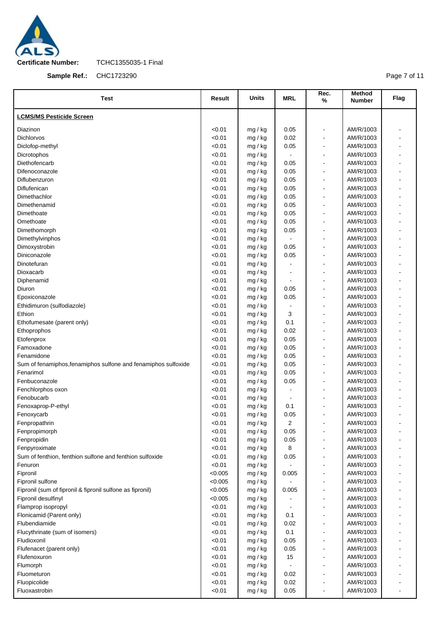

**Sample Ref.:** CHC1723290

Page 7 of 11

| <b>Test</b>                                                    | Result  | Units   | <b>MRL</b> | Rec.<br>$\%$                 | <b>Method</b><br><b>Number</b> | Flag           |
|----------------------------------------------------------------|---------|---------|------------|------------------------------|--------------------------------|----------------|
| <b>LCMS/MS Pesticide Screen</b>                                |         |         |            |                              |                                |                |
| Diazinon                                                       | < 0.01  | mg / kg | 0.05       | $\qquad \qquad \blacksquare$ | AM/R/1003                      |                |
| <b>Dichlorvos</b>                                              | < 0.01  | mg / kg | 0.02       | $\blacksquare$               | AM/R/1003                      |                |
| Diclofop-methyl                                                | < 0.01  | mg / kg | 0.05       | $\qquad \qquad \blacksquare$ | AM/R/1003                      |                |
| Dicrotophos                                                    | < 0.01  | mg / kg |            | $\blacksquare$               | AM/R/1003                      |                |
| Diethofencarb                                                  | < 0.01  | mg / kg | 0.05       | $\overline{\phantom{a}}$     | AM/R/1003                      |                |
| Difenoconazole                                                 | < 0.01  | mg / kg | 0.05       | ä,                           | AM/R/1003                      | $\blacksquare$ |
| Diflubenzuron                                                  | < 0.01  | mg / kg | 0.05       | $\blacksquare$               | AM/R/1003                      |                |
| Diflufenican                                                   | < 0.01  | mg / kg | 0.05       | $\blacksquare$               | AM/R/1003                      | $\blacksquare$ |
| Dimethachlor                                                   | < 0.01  | mg / kg | 0.05       | $\blacksquare$               | AM/R/1003                      |                |
| Dimethenamid                                                   | < 0.01  | mg / kg | 0.05       | $\blacksquare$               | AM/R/1003                      |                |
| Dimethoate                                                     | < 0.01  | mg / kg | 0.05       | ä,                           | AM/R/1003                      |                |
| Omethoate                                                      | < 0.01  | mg / kg | 0.05       | $\qquad \qquad \blacksquare$ | AM/R/1003                      |                |
| Dimethomorph                                                   | < 0.01  | mg / kg | 0.05       | ä,                           | AM/R/1003                      |                |
| Dimethylvinphos                                                | < 0.01  | mg / kg |            | $\blacksquare$               | AM/R/1003                      |                |
| Dimoxystrobin                                                  | < 0.01  | mg / kg | 0.05       | ä,                           | AM/R/1003                      | $\blacksquare$ |
| Diniconazole                                                   | < 0.01  | mg / kg | 0.05       | ä,                           | AM/R/1003                      |                |
| Dinotefuran                                                    | < 0.01  | mg / kg |            | $\blacksquare$               | AM/R/1003                      |                |
| Dioxacarb                                                      | < 0.01  | mg / kg |            | $\blacksquare$               | AM/R/1003                      |                |
| Diphenamid                                                     | < 0.01  | mg / kg |            | $\overline{a}$               | AM/R/1003                      |                |
| Diuron                                                         | < 0.01  | mg / kg | 0.05       | ä,                           | AM/R/1003                      | $\blacksquare$ |
| Epoxiconazole                                                  | < 0.01  | mg / kg | 0.05       | $\blacksquare$               | AM/R/1003                      |                |
| Ethidimuron (sulfodiazole)                                     | < 0.01  | mg / kg |            | ä,                           | AM/R/1003                      | $\blacksquare$ |
| Ethion                                                         | < 0.01  | mg / kg | 3          | $\blacksquare$               | AM/R/1003                      |                |
| Ethofumesate (parent only)                                     | < 0.01  | mg / kg | 0.1        | ä,                           | AM/R/1003                      |                |
| Ethoprophos                                                    | < 0.01  | mg / kg | 0.02       | $\overline{a}$               | AM/R/1003                      |                |
| Etofenprox                                                     | < 0.01  | mg / kg | 0.05       | $\blacksquare$               | AM/R/1003                      |                |
| Famoxadone                                                     | < 0.01  | mg / kg | 0.05       | $\blacksquare$               | AM/R/1003                      |                |
| Fenamidone                                                     | < 0.01  | mg / kg | 0.05       | ä,                           | AM/R/1003                      |                |
| Sum of fenamiphos, fenamiphos sulfone and fenamiphos sulfoxide | < 0.01  | mg / kg | 0.05       | $\qquad \qquad \blacksquare$ | AM/R/1003                      |                |
| Fenarimol                                                      | < 0.01  | mg / kg | 0.05       | ä,                           | AM/R/1003                      |                |
| Fenbuconazole                                                  | < 0.01  | mg / kg | 0.05       | ä,                           | AM/R/1003                      |                |
| Fenchlorphos oxon                                              | < 0.01  | mg / kg |            | $\overline{a}$               | AM/R/1003                      |                |
| Fenobucarb                                                     | < 0.01  | mg / kg |            | $\overline{a}$               | AM/R/1003                      |                |
| Fenoxaprop-P-ethyl                                             | < 0.01  | mg / kg | 0.1        |                              | AM/R/1003                      |                |
| Fenoxycarb                                                     | < 0.01  | mg / kg | 0.05       |                              | AM/R/1003                      |                |
| Fenpropathrin                                                  | < 0.01  | mg / kg | 2          | $\qquad \qquad \blacksquare$ | AM/R/1003                      |                |
| Fenpropimorph                                                  | < 0.01  | mg / kg | 0.05       | ä,                           | AM/R/1003                      |                |
| Fenpropidin                                                    | < 0.01  | mg / kg | 0.05       | $\blacksquare$               | AM/R/1003                      |                |
| Fenpyroximate                                                  | < 0.01  | mg / kg | 8          | $\qquad \qquad \blacksquare$ | AM/R/1003                      |                |
| Sum of fenthion, fenthion sulfone and fenthion sulfoxide       | < 0.01  | mg / kg | 0.05       | $\blacksquare$               | AM/R/1003                      |                |
| Fenuron                                                        | < 0.01  | mg / kg |            | $\qquad \qquad \blacksquare$ | AM/R/1003                      |                |
| Fipronil                                                       | < 0.005 | mg / kg | 0.005      | ä,                           | AM/R/1003                      |                |
| Fipronil sulfone                                               | < 0.005 | mg / kg |            | $\overline{a}$               | AM/R/1003                      |                |
| Fipronil (sum of fipronil & fipronil sulfone as fipronil)      | < 0.005 | mg / kg | 0.005      | $\overline{a}$               | AM/R/1003                      |                |
| Fipronil desulfinyl                                            | < 0.005 | mg / kg |            | $\blacksquare$               | AM/R/1003                      |                |
| Flamprop isopropyl                                             | < 0.01  | mg / kg |            | $\blacksquare$               | AM/R/1003                      |                |
| Flonicamid (Parent only)                                       | < 0.01  | mg / kg | 0.1        | $\blacksquare$               | AM/R/1003                      |                |
| Flubendiamide                                                  | < 0.01  | mg / kg | 0.02       | $\blacksquare$               | AM/R/1003                      |                |
| Flucythrinate (sum of isomers)                                 | < 0.01  | mg / kg | 0.1        | ä,                           | AM/R/1003                      |                |
| Fludioxonil                                                    | < 0.01  | mg / kg | 0.05       | $\qquad \qquad \blacksquare$ | AM/R/1003                      |                |
| Flufenacet (parent only)                                       | < 0.01  | mg / kg | 0.05       | ä,                           | AM/R/1003                      |                |
| Flufenoxuron                                                   | < 0.01  | mg / kg | 15         | $\qquad \qquad \blacksquare$ | AM/R/1003                      |                |
| Flumorph                                                       | < 0.01  | mg / kg |            | $\blacksquare$               | AM/R/1003                      |                |
| Fluometuron                                                    | < 0.01  | mg / kg | 0.02       | $\qquad \qquad \blacksquare$ | AM/R/1003                      |                |
| Fluopicolide                                                   | < 0.01  | mg / kg | 0.02       | $\qquad \qquad \blacksquare$ | AM/R/1003                      |                |
| Fluoxastrobin                                                  | < 0.01  | mg / kg | 0.05       |                              | AM/R/1003                      |                |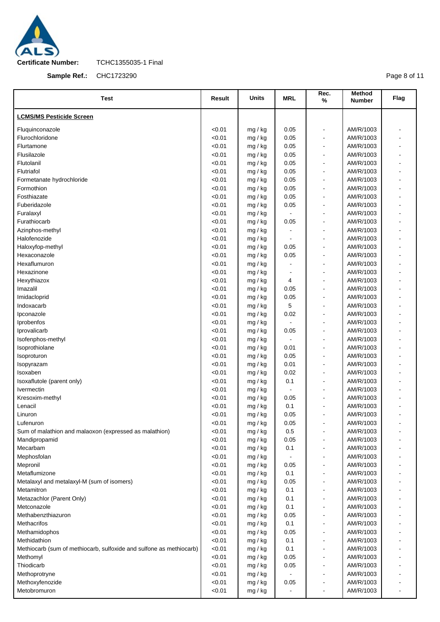

**Sample Ref.:** CHC1723290

Page 8 of 11

| Test                                                                | Result           | Units              | <b>MRL</b>   | Rec.<br>$\%$                       | Method<br><b>Number</b> | Flag |
|---------------------------------------------------------------------|------------------|--------------------|--------------|------------------------------------|-------------------------|------|
| <b>LCMS/MS Pesticide Screen</b>                                     |                  |                    |              |                                    |                         |      |
| Fluquinconazole                                                     | < 0.01           | mg / kg            | 0.05         | $\qquad \qquad \blacksquare$       | AM/R/1003               |      |
| Flurochloridone                                                     | < 0.01           | mg / kg            | 0.05         | ä,                                 | AM/R/1003               |      |
| Flurtamone                                                          | < 0.01           | mg / kg            | 0.05         | ä,                                 | AM/R/1003               |      |
| Flusilazole                                                         | < 0.01           | mg / kg            | 0.05         | $\blacksquare$                     | AM/R/1003               |      |
| Flutolanil                                                          | < 0.01           | mg / kg            | 0.05         | ä,                                 | AM/R/1003               |      |
| Flutriafol                                                          | < 0.01           | mg / kg            | 0.05         | $\blacksquare$                     | AM/R/1003               |      |
| Formetanate hydrochloride                                           | < 0.01           | mg / kg            | 0.05         | ä,                                 | AM/R/1003               |      |
| Formothion                                                          | < 0.01           | mg / kg            | 0.05         | $\blacksquare$                     | AM/R/1003               |      |
| Fosthiazate                                                         | < 0.01           | mg / kg            | 0.05         | $\blacksquare$                     | AM/R/1003               |      |
| Fuberidazole                                                        | < 0.01           | mg / kg            | 0.05         | $\overline{a}$                     | AM/R/1003               |      |
| Furalaxyl                                                           | < 0.01           | mg / kg            |              | $\blacksquare$                     | AM/R/1003               |      |
| Furathiocarb                                                        | < 0.01           | mg / kg            | 0.05         | $\overline{a}$                     | AM/R/1003               |      |
| Azinphos-methyl                                                     | < 0.01           | mg / kg            |              | ä,                                 | AM/R/1003               |      |
| Halofenozide                                                        | < 0.01           | mg / kg            |              | $\overline{a}$                     | AM/R/1003               |      |
| Haloxyfop-methyl                                                    | < 0.01           | mg / kg            | 0.05         | $\blacksquare$                     | AM/R/1003               |      |
| Hexaconazole                                                        | < 0.01           | mg / kg            | 0.05         | $\blacksquare$                     | AM/R/1003               | ۰    |
| Hexaflumuron                                                        | < 0.01           | mg / kg            |              | ä,                                 | AM/R/1003               |      |
| Hexazinone                                                          | < 0.01           | mg / kg            |              | $\blacksquare$                     | AM/R/1003               | ä,   |
| Hexythiazox                                                         | < 0.01           | mg / kg            | 4            | ä,                                 | AM/R/1003               |      |
| Imazalil                                                            | < 0.01           | mg / kg            | 0.05         | $\blacksquare$                     | AM/R/1003               |      |
| Imidacloprid                                                        | < 0.01           | mg / kg            | 0.05         | $\overline{a}$                     | AM/R/1003               |      |
| Indoxacarb                                                          | < 0.01           | mg / kg            | 5            | ä,                                 | AM/R/1003               |      |
| Ipconazole                                                          | < 0.01           | mg / kg            | 0.02         | $\overline{a}$                     | AM/R/1003               |      |
| Iprobenfos                                                          | < 0.01           | mg / kg            |              | ä,                                 | AM/R/1003               |      |
| Iprovalicarb                                                        | < 0.01           | mg / kg            | 0.05         | ä,                                 | AM/R/1003               |      |
| Isofenphos-methyl                                                   | < 0.01           | mg / kg            |              | ä,                                 | AM/R/1003               |      |
| Isoprothiolane                                                      | < 0.01           | mg / kg            | 0.01         | $\blacksquare$                     | AM/R/1003               |      |
| Isoproturon                                                         | < 0.01           | mg / kg            | 0.05         | $\qquad \qquad \blacksquare$       | AM/R/1003               |      |
| Isopyrazam                                                          | < 0.01           | mg / kg            | 0.01         | ä,                                 | AM/R/1003               |      |
| Isoxaben                                                            | < 0.01           | mg / kg            | 0.02         | $\overline{\phantom{a}}$           | AM/R/1003               |      |
| Isoxaflutole (parent only)                                          | < 0.01           | mg / kg            | 0.1          | ä,                                 | AM/R/1003               |      |
| Ivermectin                                                          | < 0.01           | mg / kg            |              | $\overline{a}$                     | AM/R/1003               |      |
| Kresoxim-methyl                                                     | < 0.01           | mg / kg            | 0.05         | ä,                                 | AM/R/1003               |      |
| Lenacil                                                             | < 0.01           | mg / kg            | 0.1          |                                    | AM/R/1003               |      |
| Linuron                                                             | < 0.01           | mg / kg            | 0.05         |                                    | AM/R/1003               |      |
| Lufenuron                                                           | < 0.01           | mg / kg            | 0.05         | $\qquad \qquad \blacksquare$       | AM/R/1003               |      |
| Sum of malathion and malaoxon (expressed as malathion)              | < 0.01           | mg / kg            | 0.5          |                                    | AM/R/1003               |      |
| Mandipropamid                                                       | < 0.01           | mg / kg            | 0.05         | ä,                                 | AM/R/1003               |      |
| Mecarbam                                                            | < 0.01           | mg / kg            | 0.1          |                                    | AM/R/1003               |      |
| Mephosfolan                                                         | < 0.01           | mg / kg            |              | ä,                                 | AM/R/1003               |      |
| Mepronil                                                            | < 0.01           | mg / kg            | 0.05         |                                    | AM/R/1003               |      |
| Metaflumizone                                                       | < 0.01           | mg / kg            | 0.1          | $\overline{a}$                     | AM/R/1003               |      |
| Metalaxyl and metalaxyl-M (sum of isomers)                          | < 0.01           | mg / kg            | 0.05         |                                    | AM/R/1003               |      |
| Metamitron                                                          | < 0.01           | mg / kg            | 0.1          | $\overline{a}$                     | AM/R/1003               |      |
| Metazachlor (Parent Only)                                           | < 0.01           | mg / kg            | 0.1          | ä,                                 | AM/R/1003               |      |
| Metconazole                                                         | < 0.01           | mg / kg            | 0.1          | $\qquad \qquad \blacksquare$       | AM/R/1003               |      |
| Methabenzthiazuron                                                  | < 0.01           | mg / kg            | 0.05         | $\overline{a}$                     | AM/R/1003               |      |
| Methacrifos                                                         | < 0.01           | mg / kg            | 0.1          |                                    | AM/R/1003               |      |
| Methamidophos                                                       | < 0.01           | mg / kg            | 0.05         | $\overline{a}$                     | AM/R/1003               |      |
| Methidathion                                                        | < 0.01           | mg / kg            | 0.1          | $\qquad \qquad \blacksquare$<br>ä, | AM/R/1003               |      |
| Methiocarb (sum of methiocarb, sulfoxide and sulfone as methiocarb) | < 0.01           | mg / kg            | 0.1          |                                    | AM/R/1003               |      |
| Methomyl<br>Thiodicarb                                              | < 0.01<br>< 0.01 | mg / kg            | 0.05<br>0.05 | $\overline{a}$<br>$\overline{a}$   | AM/R/1003<br>AM/R/1003  |      |
| Methoprotryne                                                       | < 0.01           | mg / kg<br>mg / kg |              | ä,                                 | AM/R/1003               |      |
| Methoxyfenozide                                                     | < 0.01           | mg / kg            | 0.05         | $\qquad \qquad \blacksquare$       | AM/R/1003               |      |
| Metobromuron                                                        | < 0.01           | mg / kg            |              |                                    | AM/R/1003               |      |
|                                                                     |                  |                    |              |                                    |                         |      |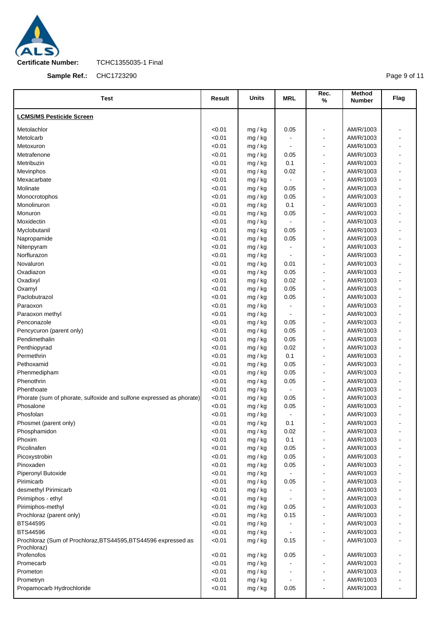

**Sample Ref.:** CHC1723290

Page 9 of 11

| <b>Test</b>                                                          | Result | <b>Units</b> | <b>MRL</b>     | Rec.<br>%                    | <b>Method</b><br><b>Number</b> | Flag                     |
|----------------------------------------------------------------------|--------|--------------|----------------|------------------------------|--------------------------------|--------------------------|
| <b>LCMS/MS Pesticide Screen</b>                                      |        |              |                |                              |                                |                          |
| Metolachlor                                                          | < 0.01 | mg / kg      | 0.05           | $\blacksquare$               | AM/R/1003                      |                          |
| Metolcarb                                                            | < 0.01 | mg / kg      |                | $\blacksquare$               | AM/R/1003                      |                          |
| Metoxuron                                                            | < 0.01 | mg / kg      |                | $\overline{\phantom{a}}$     | AM/R/1003                      |                          |
| Metrafenone                                                          | < 0.01 | mg / kg      | 0.05           | $\blacksquare$               | AM/R/1003                      |                          |
| Metribuzin                                                           | < 0.01 | mg / kg      | 0.1            | $\blacksquare$               | AM/R/1003                      |                          |
| Mevinphos                                                            | < 0.01 | mg / kg      | 0.02           | $\overline{\phantom{0}}$     | AM/R/1003                      |                          |
| Mexacarbate                                                          | < 0.01 | mg / kg      |                | $\blacksquare$               | AM/R/1003                      |                          |
| Molinate                                                             | < 0.01 | mg / kg      | 0.05           | $\overline{\phantom{a}}$     | AM/R/1003                      |                          |
| Monocrotophos                                                        | < 0.01 | mg / kg      | 0.05           | $\blacksquare$               | AM/R/1003                      |                          |
| Monolinuron                                                          | < 0.01 | mg / kg      | 0.1            | -                            | AM/R/1003                      |                          |
| Monuron                                                              | < 0.01 | mg / kg      | 0.05           | $\overline{\phantom{a}}$     | AM/R/1003                      |                          |
| Moxidectin                                                           | < 0.01 | mg / kg      | $\blacksquare$ | -                            | AM/R/1003                      |                          |
| Myclobutanil                                                         | < 0.01 | mg / kg      | 0.05           | $\overline{\phantom{a}}$     | AM/R/1003                      |                          |
| Napropamide                                                          | < 0.01 | mg / kg      | 0.05           | $\overline{\phantom{0}}$     | AM/R/1003                      |                          |
| Nitenpyram                                                           | < 0.01 | mg / kg      |                | $\overline{\phantom{a}}$     | AM/R/1003                      |                          |
| Norflurazon                                                          | < 0.01 | mg / kg      |                | $\overline{\phantom{a}}$     | AM/R/1003                      |                          |
| Novaluron                                                            | < 0.01 | mg / kg      | 0.01           | $\blacksquare$               | AM/R/1003                      | ä,                       |
| Oxadiazon                                                            | < 0.01 | mg / kg      | 0.05           | $\qquad \qquad \blacksquare$ | AM/R/1003                      |                          |
| Oxadixyl                                                             | < 0.01 | mg / kg      | 0.02           | $\blacksquare$               | AM/R/1003                      |                          |
| Oxamyl                                                               | < 0.01 | mg / kg      | 0.05           | $\qquad \qquad \blacksquare$ | AM/R/1003                      |                          |
| Paclobutrazol                                                        | < 0.01 | mg / kg      | 0.05           | $\overline{\phantom{a}}$     | AM/R/1003                      |                          |
| Paraoxon                                                             | < 0.01 | mg / kg      |                | $\overline{\phantom{0}}$     | AM/R/1003                      |                          |
| Paraoxon methyl                                                      | < 0.01 | mg / kg      |                | $\overline{a}$               | AM/R/1003                      |                          |
| Penconazole                                                          | < 0.01 | mg / kg      | 0.05           | $\overline{\phantom{0}}$     | AM/R/1003                      |                          |
| Pencycuron (parent only)                                             | < 0.01 | mg / kg      | 0.05           | $\overline{a}$               | AM/R/1003                      |                          |
| Pendimethalin                                                        | < 0.01 | mg / kg      | 0.05           | -                            | AM/R/1003                      |                          |
| Penthiopyrad                                                         | < 0.01 | mg / kg      | 0.02           | $\blacksquare$               | AM/R/1003                      |                          |
| Permethrin                                                           | < 0.01 | mg / kg      | 0.1            | $\qquad \qquad \blacksquare$ | AM/R/1003                      |                          |
| Pethoxamid                                                           | < 0.01 | mg / kg      | 0.05           | $\blacksquare$               | AM/R/1003                      |                          |
| Phenmedipham                                                         | < 0.01 | mg / kg      | 0.05           | -                            | AM/R/1003                      |                          |
| Phenothrin                                                           | < 0.01 | mg / kg      | 0.05           | $\overline{\phantom{a}}$     | AM/R/1003                      |                          |
| Phenthoate                                                           | < 0.01 | mg / kg      |                | $\blacksquare$               | AM/R/1003                      |                          |
| Phorate (sum of phorate, sulfoxide and sulfone expressed as phorate) | < 0.01 | mg / kg      | 0.05           | $\blacksquare$               | AM/R/1003                      |                          |
| Phosalone                                                            | < 0.01 | mg / kg      | 0.05           | -                            | AM/R/1003                      |                          |
| Phosfolan                                                            | < 0.01 | mg / kg      |                |                              | AM/R/1003                      |                          |
| Phosmet (parent only)                                                | < 0.01 | mg / kg      | 0.1            | $\qquad \qquad \blacksquare$ | AM/R/1003                      |                          |
| Phosphamidon                                                         | < 0.01 | mg / kg      | 0.02           |                              | AM/R/1003                      |                          |
| Phoxim                                                               | < 0.01 | mg / kg      | 0.1            | -                            | AM/R/1003                      |                          |
| Picolinafen                                                          | < 0.01 | mg / kg      | 0.05           | $\overline{\phantom{a}}$     | AM/R/1003                      |                          |
| Picoxystrobin                                                        | < 0.01 | mg / kg      | 0.05           | -                            | AM/R/1003                      |                          |
| Pinoxaden                                                            | < 0.01 | mg / kg      | 0.05           | $\overline{\phantom{a}}$     | AM/R/1003                      |                          |
| Piperonyl Butoxide                                                   | < 0.01 | mg / kg      |                | $\overline{\phantom{0}}$     | AM/R/1003                      |                          |
| Pirimicarb                                                           | < 0.01 | mg / kg      | 0.05           | $\overline{\phantom{a}}$     | AM/R/1003                      |                          |
| desmethyl Pirimicarb                                                 | < 0.01 | mg / kg      |                | -                            | AM/R/1003                      |                          |
| Pirimiphos - ethyl                                                   | < 0.01 | mg / kg      |                | $\blacksquare$               | AM/R/1003                      |                          |
| Pirimiphos-methyl                                                    | < 0.01 | mg / kg      | 0.05           | -                            | AM/R/1003                      |                          |
| Prochloraz (parent only)                                             | < 0.01 | mg / kg      | 0.15           | -                            | AM/R/1003                      |                          |
| BTS44595                                                             | < 0.01 | mg / kg      |                | -                            | AM/R/1003                      |                          |
| BTS44596                                                             | < 0.01 | mg / kg      |                | $\blacksquare$               | AM/R/1003                      |                          |
| Prochloraz (Sum of Prochloraz, BTS44595, BTS44596 expressed as       | < 0.01 | mg / kg      | 0.15           | $\qquad \qquad \blacksquare$ | AM/R/1003                      |                          |
| Prochloraz)<br>Profenofos                                            | <0.01  | mg / kg      | 0.05           | $\blacksquare$               | AM/R/1003                      |                          |
| Promecarb                                                            | < 0.01 | mg / kg      |                | -                            | AM/R/1003                      |                          |
| Prometon                                                             | < 0.01 | mg / kg      |                | $\blacksquare$               | AM/R/1003                      |                          |
| Prometryn                                                            | < 0.01 | mg / kg      |                | $\overline{\phantom{0}}$     | AM/R/1003                      |                          |
| Propamocarb Hydrochloride                                            | < 0.01 | mg / kg      | 0.05           | $\blacksquare$               | AM/R/1003                      | $\overline{\phantom{0}}$ |
|                                                                      |        |              |                |                              |                                |                          |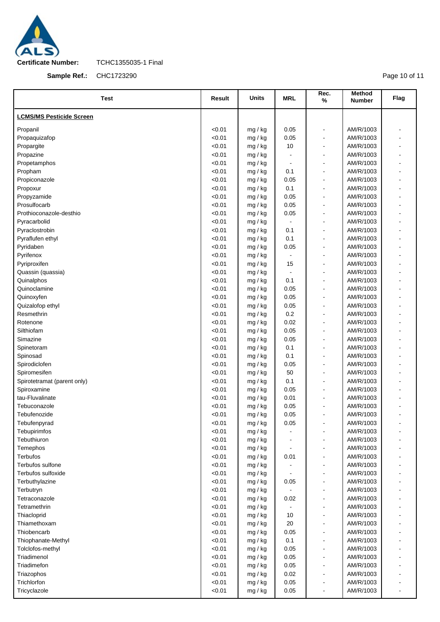

**Sample Ref.:** CHC1723290

Page 10 of 11

| <b>Test</b>                     | Result           | <b>Units</b>       | <b>MRL</b>     | Rec.<br>%                                  | Method<br>Number       | Flag           |
|---------------------------------|------------------|--------------------|----------------|--------------------------------------------|------------------------|----------------|
| <b>LCMS/MS Pesticide Screen</b> |                  |                    |                |                                            |                        |                |
| Propanil                        | < 0.01           | mg / kg            | 0.05           | $\blacksquare$                             | AM/R/1003              |                |
| Propaquizafop                   | < 0.01           | mg / kg            | 0.05           | $\blacksquare$                             | AM/R/1003              |                |
| Propargite                      | < 0.01           | mg / kg            | 10             | $\blacksquare$                             | AM/R/1003              |                |
| Propazine                       | < 0.01           | mg / kg            |                | $\overline{\phantom{a}}$                   | AM/R/1003              |                |
| Propetamphos                    | < 0.01           | mg / kg            | $\blacksquare$ | $\overline{\phantom{a}}$                   | AM/R/1003              |                |
| Propham                         | < 0.01           | mg / kg            | 0.1            | $\blacksquare$                             | AM/R/1003              |                |
| Propiconazole                   | < 0.01           | mg / kg            | 0.05           | $\blacksquare$                             | AM/R/1003              | $\overline{a}$ |
| Propoxur                        | < 0.01           | mg / kg            | 0.1            | $\overline{\phantom{a}}$                   | AM/R/1003              |                |
| Propyzamide                     | < 0.01           | mg / kg            | 0.05           | $\overline{a}$                             | AM/R/1003              |                |
| Prosulfocarb                    | < 0.01           | mg / kg            | 0.05           | $\overline{\phantom{a}}$                   | AM/R/1003              |                |
| Prothioconazole-desthio         | < 0.01           | mg / kg            | 0.05           | $\overline{a}$                             | AM/R/1003              |                |
| Pyracarbolid                    | < 0.01           | mg / kg            |                | $\overline{\phantom{a}}$                   | AM/R/1003              |                |
| Pyraclostrobin                  | < 0.01           | mg / kg            | 0.1            | $\overline{a}$                             | AM/R/1003              |                |
| Pyraflufen ethyl                | < 0.01           | mg / kg            | 0.1            | $\blacksquare$                             | AM/R/1003              | ÷              |
| Pyridaben                       | < 0.01           | mg / kg            | 0.05           | $\blacksquare$                             | AM/R/1003              |                |
| Pyrifenox                       | < 0.01           | mg / kg            | $\blacksquare$ | $\overline{a}$                             | AM/R/1003              |                |
| Pyriproxifen                    | < 0.01           | mg / kg            | 15             | $\overline{\phantom{a}}$                   | AM/R/1003              |                |
| Quassin (quassia)               | < 0.01           | mg / kg            |                | $\blacksquare$                             | AM/R/1003              |                |
| Quinalphos                      | < 0.01           | mg / kg            | 0.1            | $\overline{\phantom{a}}$                   | AM/R/1003              |                |
| Quinoclamine                    | < 0.01           | mg / kg            | 0.05           | $\overline{a}$                             | AM/R/1003              |                |
| Quinoxyfen                      | < 0.01           | mg / kg            | 0.05           | $\overline{\phantom{a}}$                   | AM/R/1003              | $\overline{a}$ |
| Quizalofop ethyl                | < 0.01           | mg / kg            | 0.05           | $\overline{a}$                             | AM/R/1003              |                |
| Resmethrin                      | < 0.01           | mg / kg            | 0.2            | $\overline{\phantom{a}}$                   | AM/R/1003              |                |
| Rotenone                        | < 0.01           | mg / kg            | 0.02           | $\blacksquare$                             | AM/R/1003              |                |
| Silthiofam                      | < 0.01           | mg / kg            | 0.05           | $\overline{a}$                             | AM/R/1003              |                |
| Simazine                        | < 0.01           | mg / kg            | 0.05           | $\overline{\phantom{a}}$                   | AM/R/1003              |                |
| Spinetoram                      | < 0.01           | mg / kg            | 0.1            | $\overline{a}$                             | AM/R/1003              |                |
| Spinosad                        | < 0.01           | mg / kg            | 0.1            | $\blacksquare$                             | AM/R/1003              |                |
| Spirodiclofen                   | < 0.01           | mg / kg            | 0.05           | $\overline{a}$                             | AM/R/1003              |                |
| Spiromesifen                    | < 0.01           | mg / kg            | 50             | $\blacksquare$                             | AM/R/1003              |                |
| Spirotetramat (parent only)     | < 0.01           | mg / kg            | 0.1            | $\overline{\phantom{a}}$                   | AM/R/1003              |                |
| Spiroxamine                     | < 0.01           | mg / kg            | 0.05           | $\blacksquare$                             | AM/R/1003              |                |
| tau-Fluvalinate                 | < 0.01           | mg / kg            | 0.01           | $\overline{\phantom{a}}$                   | AM/R/1003              |                |
| Tebuconazole                    | < 0.01           | mg / kg            | 0.05           | $\overline{a}$                             | AM/R/1003              |                |
| Tebufenozide                    | < 0.01           | mg / kg            | 0.05           |                                            | AM/R/1003              |                |
| Tebufenpyrad                    | < 0.01           | mg / kg            | 0.05           | $\overline{a}$                             | AM/R/1003              |                |
| Tebupirimfos                    | < 0.01           | mg / kg            |                |                                            | AM/R/1003              |                |
| Tebuthiuron                     | < 0.01           | mg / kg            |                | $\blacksquare$                             | AM/R/1003              |                |
| Temephos                        | < 0.01           | mg / kg            |                |                                            | AM/R/1003              |                |
| Terbufos                        | < 0.01           | mg / kg            | 0.01           | $\blacksquare$                             | AM/R/1003              |                |
| Terbufos sulfone                | < 0.01           | mg / kg            |                | $\overline{\phantom{a}}$                   | AM/R/1003              |                |
| Terbufos sulfoxide              | < 0.01           | mg / kg            |                | $\overline{\phantom{a}}$                   | AM/R/1003              |                |
| Terbuthylazine                  | < 0.01           | mg / kg            | 0.05           | $\overline{a}$                             | AM/R/1003              |                |
| Terbutryn<br>Tetraconazole      | < 0.01<br>< 0.01 | mg / kg            | 0.02           | $\overline{\phantom{a}}$<br>$\blacksquare$ | AM/R/1003<br>AM/R/1003 |                |
| Tetramethrin                    | < 0.01           | mg / kg<br>mg / kg |                |                                            | AM/R/1003              |                |
| Thiacloprid                     | < 0.01           |                    | 10             | $\overline{\phantom{a}}$<br>$\blacksquare$ | AM/R/1003              |                |
| Thiamethoxam                    | < 0.01           | mg / kg<br>mg / kg | 20             | $\overline{\phantom{a}}$                   | AM/R/1003              |                |
| Thiobencarb                     | < 0.01           | mg / kg            | 0.05           | $\overline{\phantom{a}}$                   | AM/R/1003              |                |
| Thiophanate-Methyl              | < 0.01           | mg / kg            | 0.1            | $\overline{a}$                             | AM/R/1003              |                |
| Tolclofos-methyl                | < 0.01           | mg / kg            | 0.05           | $\overline{\phantom{a}}$                   | AM/R/1003              |                |
| Triadimenol                     | < 0.01           | mg / kg            | 0.05           | $\blacksquare$                             | AM/R/1003              |                |
| Triadimefon                     | < 0.01           | mg / kg            | 0.05           | $\overline{\phantom{a}}$                   | AM/R/1003              |                |
| Triazophos                      | < 0.01           | mg / kg            | 0.02           | $\overline{\phantom{a}}$                   | AM/R/1003              |                |
| Trichlorfon                     | < 0.01           | mg / kg            | 0.05           | $\overline{\phantom{a}}$                   | AM/R/1003              |                |
| Tricyclazole                    | < 0.01           | mg / kg            | 0.05           | $\blacksquare$                             | AM/R/1003              |                |
|                                 |                  |                    |                |                                            |                        |                |